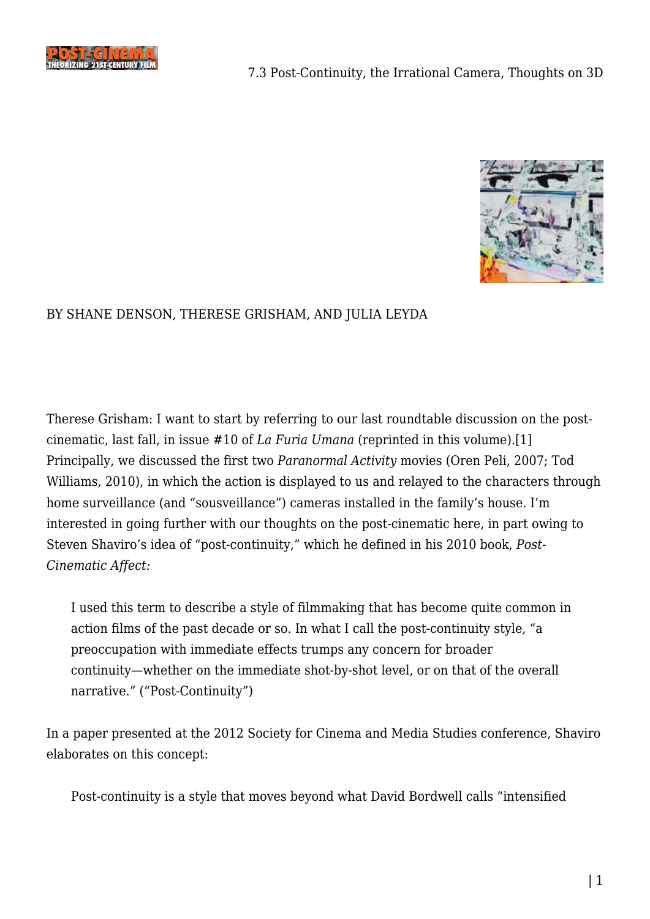



# BY SHANE DENSON, THERESE GRISHAM, AND JULIA LEYDA

<span id="page-0-0"></span>Therese Grisham: I want to start by referring to our last roundtable discussion on the postcinematic, last fall, in issue #10 of *La Furia Umana* (reprinted in this volume)[.\[1\]](#page-37-0) Principally, we discussed the first two *Paranormal Activity* movies (Oren Peli, 2007; Tod Williams, 2010), in which the action is displayed to us and relayed to the characters through home surveillance (and "sousveillance") cameras installed in the family's house. I'm interested in going further with our thoughts on the post-cinematic here, in part owing to Steven Shaviro's idea of "post-continuity," which he defined in his 2010 book, *Post-Cinematic Affect:*

I used this term to describe a style of filmmaking that has become quite common in action films of the past decade or so. In what I call the post-continuity style, "a preoccupation with immediate effects trumps any concern for broader continuity—whether on the immediate shot-by-shot level, or on that of the overall narrative." ("Post-Continuity")

In a paper presented at the 2012 Society for Cinema and Media Studies conference, Shaviro elaborates on this concept:

Post-continuity is a style that moves beyond what David Bordwell calls "intensified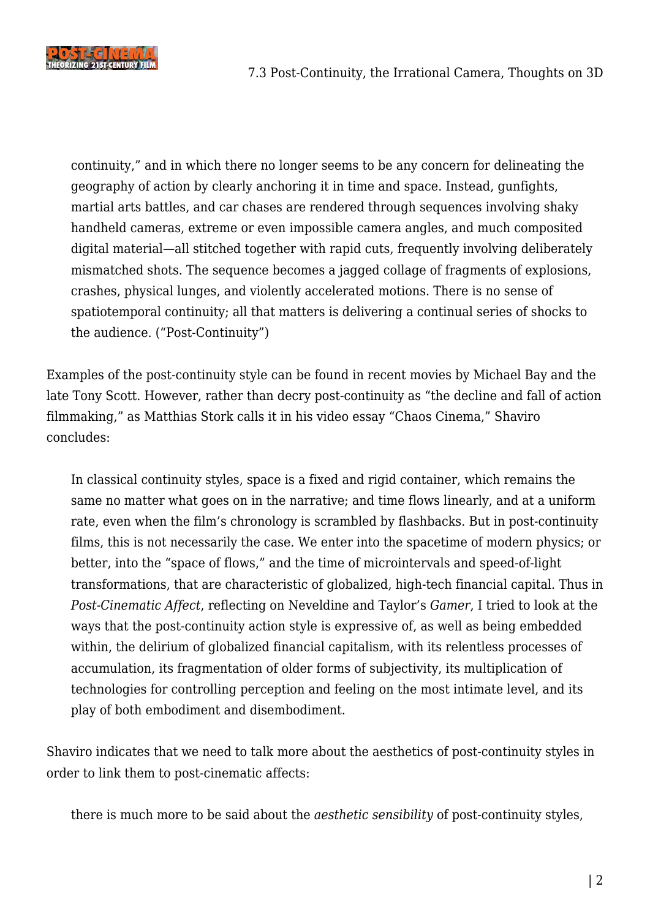

continuity," and in which there no longer seems to be any concern for delineating the geography of action by clearly anchoring it in time and space. Instead, gunfights, martial arts battles, and car chases are rendered through sequences involving shaky handheld cameras, extreme or even impossible camera angles, and much composited digital material—all stitched together with rapid cuts, frequently involving deliberately mismatched shots. The sequence becomes a jagged collage of fragments of explosions, crashes, physical lunges, and violently accelerated motions. There is no sense of spatiotemporal continuity; all that matters is delivering a continual series of shocks to the audience. ("Post-Continuity")

Examples of the post-continuity style can be found in recent movies by Michael Bay and the late Tony Scott. However, rather than decry post-continuity as "the decline and fall of action filmmaking," as Matthias Stork calls it in his video essay "[Chaos Cinema,](http://blogs.indiewire.com/pressplay/video_essay_matthias_stork_calls_out_the_chaos_cinema)" Shaviro concludes:

In classical continuity styles, space is a fixed and rigid container, which remains the same no matter what goes on in the narrative; and time flows linearly, and at a uniform rate, even when the film's chronology is scrambled by flashbacks. But in post-continuity films, this is not necessarily the case. We enter into the spacetime of modern physics; or better, into the "space of flows," and the time of microintervals and speed-of-light transformations, that are characteristic of globalized, high-tech financial capital. Thus in *Post-Cinematic Affect*, reflecting on Neveldine and Taylor's *Gamer*, I tried to look at the ways that the post-continuity action style is expressive of, as well as being embedded within, the delirium of globalized financial capitalism, with its relentless processes of accumulation, its fragmentation of older forms of subjectivity, its multiplication of technologies for controlling perception and feeling on the most intimate level, and its play of both embodiment and disembodiment.

Shaviro indicates that we need to talk more about the aesthetics of post-continuity styles in order to link them to post-cinematic affects:

there is much more to be said about the *aesthetic sensibility* of post-continuity styles,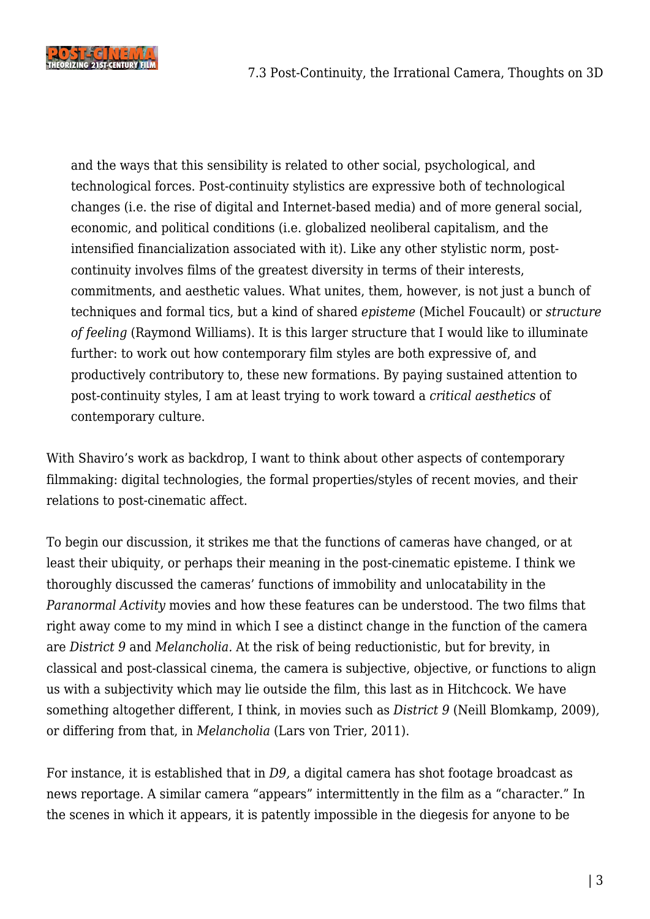

and the ways that this sensibility is related to other social, psychological, and technological forces. Post-continuity stylistics are expressive both of technological changes (i.e. the rise of digital and Internet-based media) and of more general social, economic, and political conditions (i.e. globalized neoliberal capitalism, and the intensified financialization associated with it). Like any other stylistic norm, postcontinuity involves films of the greatest diversity in terms of their interests, commitments, and aesthetic values. What unites, them, however, is not just a bunch of techniques and formal tics, but a kind of shared *episteme* (Michel Foucault) or *structure of feeling* (Raymond Williams). It is this larger structure that I would like to illuminate further: to work out how contemporary film styles are both expressive of, and productively contributory to, these new formations. By paying sustained attention to post-continuity styles, I am at least trying to work toward a *critical aesthetics* of contemporary culture.

With Shaviro's work as backdrop, I want to think about other aspects of contemporary filmmaking: digital technologies, the formal properties/styles of recent movies, and their relations to post-cinematic affect.

To begin our discussion, it strikes me that the functions of cameras have changed, or at least their ubiquity, or perhaps their meaning in the post-cinematic episteme. I think we thoroughly discussed the cameras' functions of immobility and unlocatability in the *Paranormal Activity* movies and how these features can be understood. The two films that right away come to my mind in which I see a distinct change in the function of the camera are *District 9* and *Melancholia.* At the risk of being reductionistic, but for brevity, in classical and post-classical cinema, the camera is subjective, objective, or functions to align us with a subjectivity which may lie outside the film, this last as in Hitchcock. We have something altogether different, I think, in movies such as *District 9* (Neill Blomkamp, 2009)*,* or differing from that, in *Melancholia* (Lars von Trier, 2011).

For instance, it is established that in *D9,* a digital camera has shot footage broadcast as news reportage. A similar camera "appears" intermittently in the film as a "character." In the scenes in which it appears, it is patently impossible in the diegesis for anyone to be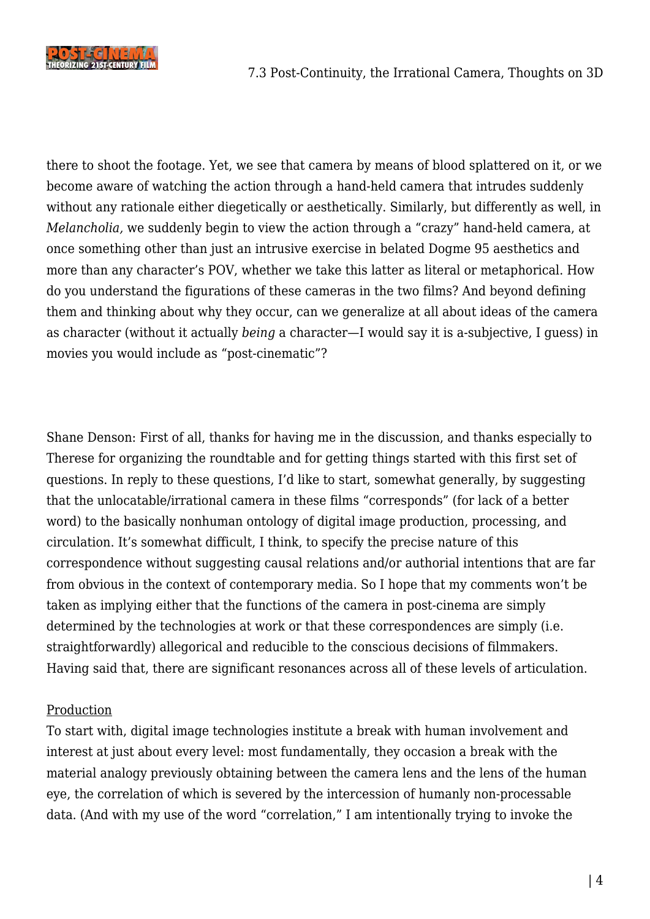

there to shoot the footage. Yet, we see that camera by means of blood splattered on it, or we become aware of watching the action through a hand-held camera that intrudes suddenly without any rationale either diegetically or aesthetically. Similarly, but differently as well, in *Melancholia,* we suddenly begin to view the action through a "crazy" hand-held camera, at once something other than just an intrusive exercise in belated Dogme 95 aesthetics and more than any character's POV, whether we take this latter as literal or metaphorical. How do you understand the figurations of these cameras in the two films? And beyond defining them and thinking about why they occur, can we generalize at all about ideas of the camera as character (without it actually *being* a character—I would say it is a-subjective, I guess) in movies you would include as "post-cinematic"?

Shane Denson: First of all, thanks for having me in the discussion, and thanks especially to Therese for organizing the roundtable and for getting things started with this first set of questions. In reply to these questions, I'd like to start, somewhat generally, by suggesting that the unlocatable/irrational camera in these films "corresponds" (for lack of a better word) to the basically nonhuman ontology of digital image production, processing, and circulation. It's somewhat difficult, I think, to specify the precise nature of this correspondence without suggesting causal relations and/or authorial intentions that are far from obvious in the context of contemporary media. So I hope that my comments won't be taken as implying either that the functions of the camera in post-cinema are simply determined by the technologies at work or that these correspondences are simply (i.e. straightforwardly) allegorical and reducible to the conscious decisions of filmmakers. Having said that, there are significant resonances across all of these levels of articulation.

#### Production

To start with, digital image technologies institute a break with human involvement and interest at just about every level: most fundamentally, they occasion a break with the material analogy previously obtaining between the camera lens and the lens of the human eye, the correlation of which is severed by the intercession of humanly non-processable data. (And with my use of the word "correlation," I am intentionally trying to invoke the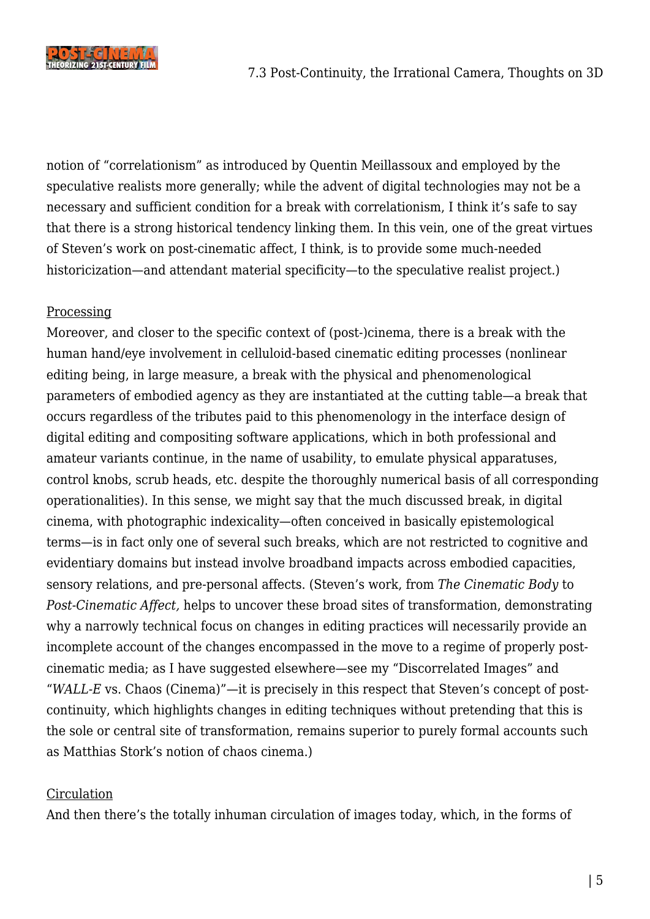

notion of "correlationism" as introduced by Quentin Meillassoux and employed by the speculative realists more generally; while the advent of digital technologies may not be a necessary and sufficient condition for a break with correlationism, I think it's safe to say that there is a strong historical tendency linking them. In this vein, one of the great virtues of Steven's work on post-cinematic affect, I think, is to provide some much-needed historicization—and attendant material specificity—to the speculative realist project.)

## **Processing**

Moreover, and closer to the specific context of (post-)cinema, there is a break with the human hand/eye involvement in celluloid-based cinematic editing processes (nonlinear editing being, in large measure, a break with the physical and phenomenological parameters of embodied agency as they are instantiated at the cutting table—a break that occurs regardless of the tributes paid to this phenomenology in the interface design of digital editing and compositing software applications, which in both professional and amateur variants continue, in the name of usability, to emulate physical apparatuses, control knobs, scrub heads, etc. despite the thoroughly numerical basis of all corresponding operationalities). In this sense, we might say that the much discussed break, in digital cinema, with photographic indexicality—often conceived in basically epistemological terms—is in fact only one of several such breaks, which are not restricted to cognitive and evidentiary domains but instead involve broadband impacts across embodied capacities, sensory relations, and pre-personal affects. (Steven's work, from *The Cinematic Body* to *Post-Cinematic Affect,* helps to uncover these broad sites of transformation, demonstrating why a narrowly technical focus on changes in editing practices will necessarily provide an incomplete account of the changes encompassed in the move to a regime of properly postcinematic media; as I have suggested elsewhere—see my "Discorrelated Images" and "*WALL-E* vs. Chaos (Cinema)"—it is precisely in this respect that Steven's concept of postcontinuity, which highlights changes in editing techniques without pretending that this is the sole or central site of transformation, remains superior to purely formal accounts such as Matthias Stork's notion of chaos cinema.)

## Circulation

And then there's the totally inhuman circulation of images today, which, in the forms of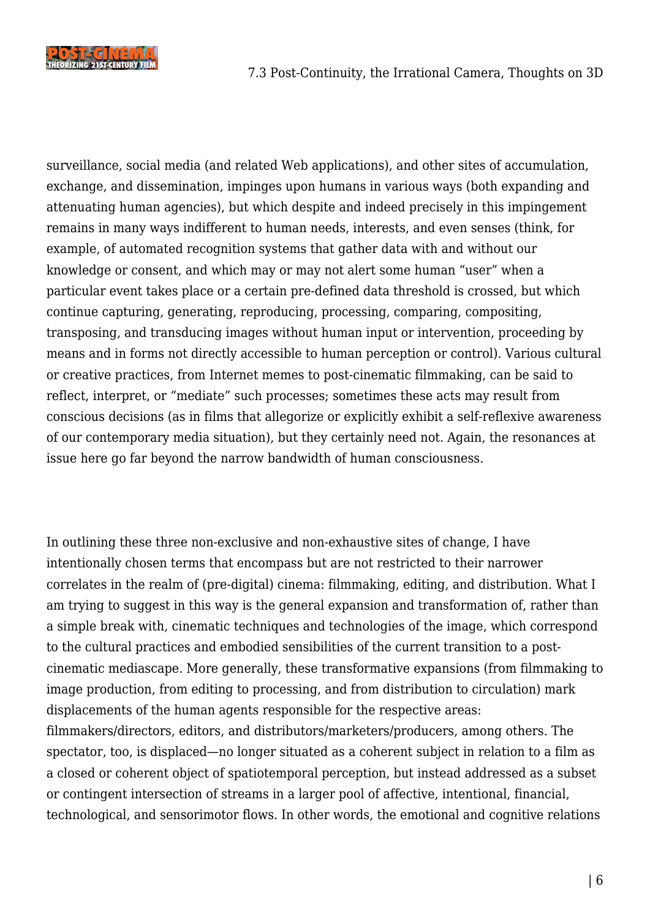

surveillance, social media (and related Web applications), and other sites of accumulation, exchange, and dissemination, impinges upon humans in various ways (both expanding and attenuating human agencies), but which despite and indeed precisely in this impingement remains in many ways indifferent to human needs, interests, and even senses (think, for example, of automated recognition systems that gather data with and without our knowledge or consent, and which may or may not alert some human "user" when a particular event takes place or a certain pre-defined data threshold is crossed, but which continue capturing, generating, reproducing, processing, comparing, compositing, transposing, and transducing images without human input or intervention, proceeding by means and in forms not directly accessible to human perception or control). Various cultural or creative practices, from Internet memes to post-cinematic filmmaking, can be said to reflect, interpret, or "mediate" such processes; sometimes these acts may result from conscious decisions (as in films that allegorize or explicitly exhibit a self-reflexive awareness of our contemporary media situation), but they certainly need not. Again, the resonances at issue here go far beyond the narrow bandwidth of human consciousness.

In outlining these three non-exclusive and non-exhaustive sites of change, I have intentionally chosen terms that encompass but are not restricted to their narrower correlates in the realm of (pre-digital) cinema: filmmaking, editing, and distribution. What I am trying to suggest in this way is the general expansion and transformation of, rather than a simple break with, cinematic techniques and technologies of the image, which correspond to the cultural practices and embodied sensibilities of the current transition to a postcinematic mediascape. More generally, these transformative expansions (from filmmaking to image production, from editing to processing, and from distribution to circulation) mark displacements of the human agents responsible for the respective areas: filmmakers/directors, editors, and distributors/marketers/producers, among others. The spectator, too, is displaced—no longer situated as a coherent subject in relation to a film as a closed or coherent object of spatiotemporal perception, but instead addressed as a subset or contingent intersection of streams in a larger pool of affective, intentional, financial, technological, and sensorimotor flows. In other words, the emotional and cognitive relations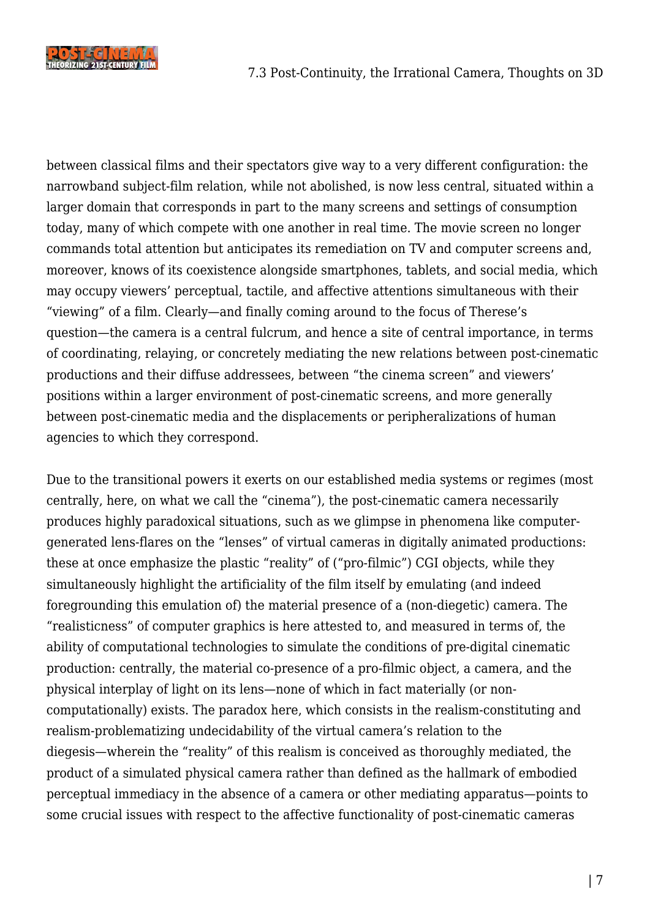

between classical films and their spectators give way to a very different configuration: the narrowband subject-film relation, while not abolished, is now less central, situated within a larger domain that corresponds in part to the many screens and settings of consumption today, many of which compete with one another in real time. The movie screen no longer commands total attention but anticipates its remediation on TV and computer screens and, moreover, knows of its coexistence alongside smartphones, tablets, and social media, which may occupy viewers' perceptual, tactile, and affective attentions simultaneous with their "viewing" of a film. Clearly—and finally coming around to the focus of Therese's question—the camera is a central fulcrum, and hence a site of central importance, in terms of coordinating, relaying, or concretely mediating the new relations between post-cinematic productions and their diffuse addressees, between "the cinema screen" and viewers' positions within a larger environment of post-cinematic screens, and more generally between post-cinematic media and the displacements or peripheralizations of human agencies to which they correspond.

Due to the transitional powers it exerts on our established media systems or regimes (most centrally, here, on what we call the "cinema"), the post-cinematic camera necessarily produces highly paradoxical situations, such as we glimpse in phenomena like computergenerated lens-flares on the "lenses" of virtual cameras in digitally animated productions: these at once emphasize the plastic "reality" of ("pro-filmic") CGI objects, while they simultaneously highlight the artificiality of the film itself by emulating (and indeed foregrounding this emulation of) the material presence of a (non-diegetic) camera. The "realisticness" of computer graphics is here attested to, and measured in terms of, the ability of computational technologies to simulate the conditions of pre-digital cinematic production: centrally, the material co-presence of a pro-filmic object, a camera, and the physical interplay of light on its lens—none of which in fact materially (or noncomputationally) exists. The paradox here, which consists in the realism-constituting and realism-problematizing undecidability of the virtual camera's relation to the diegesis—wherein the "reality" of this realism is conceived as thoroughly mediated, the product of a simulated physical camera rather than defined as the hallmark of embodied perceptual immediacy in the absence of a camera or other mediating apparatus—points to some crucial issues with respect to the affective functionality of post-cinematic cameras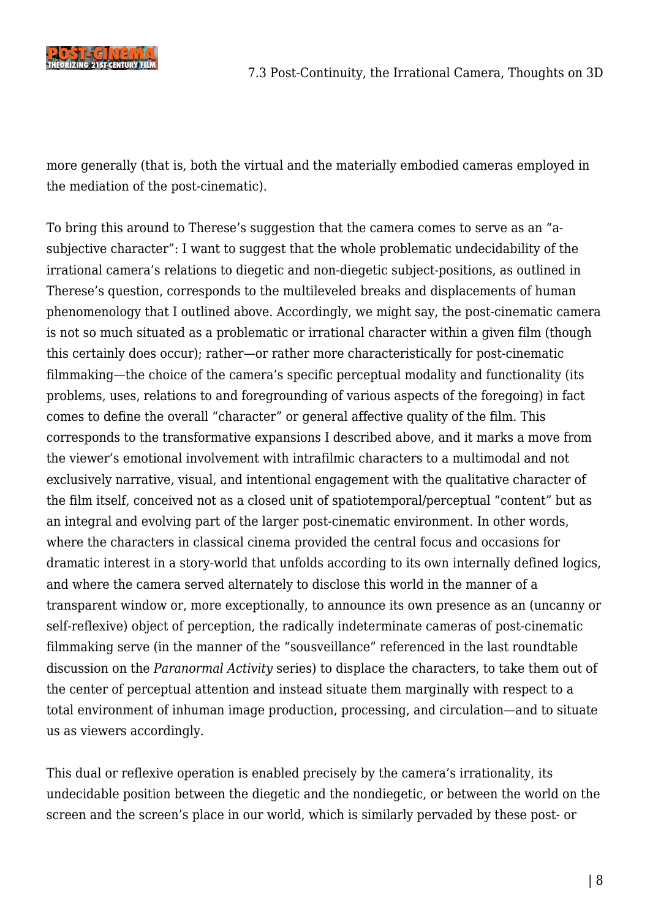

more generally (that is, both the virtual and the materially embodied cameras employed in the mediation of the post-cinematic).

To bring this around to Therese's suggestion that the camera comes to serve as an "asubjective character": I want to suggest that the whole problematic undecidability of the irrational camera's relations to diegetic and non-diegetic subject-positions, as outlined in Therese's question, corresponds to the multileveled breaks and displacements of human phenomenology that I outlined above. Accordingly, we might say, the post-cinematic camera is not so much situated as a problematic or irrational character within a given film (though this certainly does occur); rather—or rather more characteristically for post-cinematic filmmaking—the choice of the camera's specific perceptual modality and functionality (its problems, uses, relations to and foregrounding of various aspects of the foregoing) in fact comes to define the overall "character" or general affective quality of the film. This corresponds to the transformative expansions I described above, and it marks a move from the viewer's emotional involvement with intrafilmic characters to a multimodal and not exclusively narrative, visual, and intentional engagement with the qualitative character of the film itself, conceived not as a closed unit of spatiotemporal/perceptual "content" but as an integral and evolving part of the larger post-cinematic environment. In other words, where the characters in classical cinema provided the central focus and occasions for dramatic interest in a story-world that unfolds according to its own internally defined logics, and where the camera served alternately to disclose this world in the manner of a transparent window or, more exceptionally, to announce its own presence as an (uncanny or self-reflexive) object of perception, the radically indeterminate cameras of post-cinematic filmmaking serve (in the manner of the "sousveillance" referenced in the last roundtable discussion on the *Paranormal Activity* series) to displace the characters, to take them out of the center of perceptual attention and instead situate them marginally with respect to a total environment of inhuman image production, processing, and circulation—and to situate us as viewers accordingly.

This dual or reflexive operation is enabled precisely by the camera's irrationality, its undecidable position between the diegetic and the nondiegetic, or between the world on the screen and the screen's place in our world, which is similarly pervaded by these post- or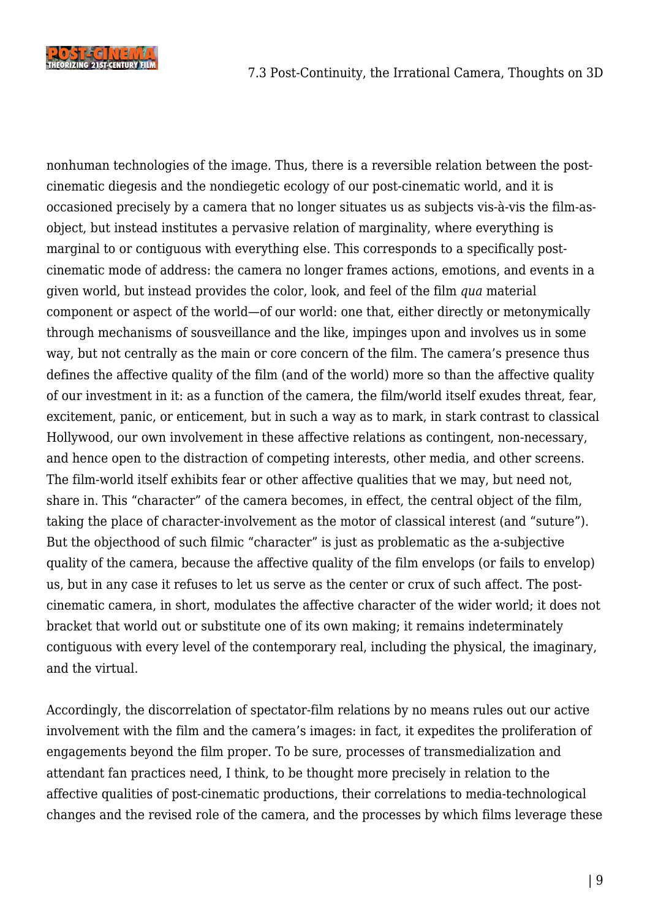

nonhuman technologies of the image. Thus, there is a reversible relation between the postcinematic diegesis and the nondiegetic ecology of our post-cinematic world, and it is occasioned precisely by a camera that no longer situates us as subjects vis-à-vis the film-asobject, but instead institutes a pervasive relation of marginality, where everything is marginal to or contiguous with everything else. This corresponds to a specifically postcinematic mode of address: the camera no longer frames actions, emotions, and events in a given world, but instead provides the color, look, and feel of the film *qua* material component or aspect of the world—of our world: one that, either directly or metonymically through mechanisms of sousveillance and the like, impinges upon and involves us in some way, but not centrally as the main or core concern of the film. The camera's presence thus defines the affective quality of the film (and of the world) more so than the affective quality of our investment in it: as a function of the camera, the film/world itself exudes threat, fear, excitement, panic, or enticement, but in such a way as to mark, in stark contrast to classical Hollywood, our own involvement in these affective relations as contingent, non-necessary, and hence open to the distraction of competing interests, other media, and other screens. The film-world itself exhibits fear or other affective qualities that we may, but need not, share in. This "character" of the camera becomes, in effect, the central object of the film, taking the place of character-involvement as the motor of classical interest (and "suture"). But the objecthood of such filmic "character" is just as problematic as the a-subjective quality of the camera, because the affective quality of the film envelops (or fails to envelop) us, but in any case it refuses to let us serve as the center or crux of such affect. The postcinematic camera, in short, modulates the affective character of the wider world; it does not bracket that world out or substitute one of its own making; it remains indeterminately contiguous with every level of the contemporary real, including the physical, the imaginary, and the virtual.

Accordingly, the discorrelation of spectator-film relations by no means rules out our active involvement with the film and the camera's images: in fact, it expedites the proliferation of engagements beyond the film proper. To be sure, processes of transmedialization and attendant fan practices need, I think, to be thought more precisely in relation to the affective qualities of post-cinematic productions, their correlations to media-technological changes and the revised role of the camera, and the processes by which films leverage these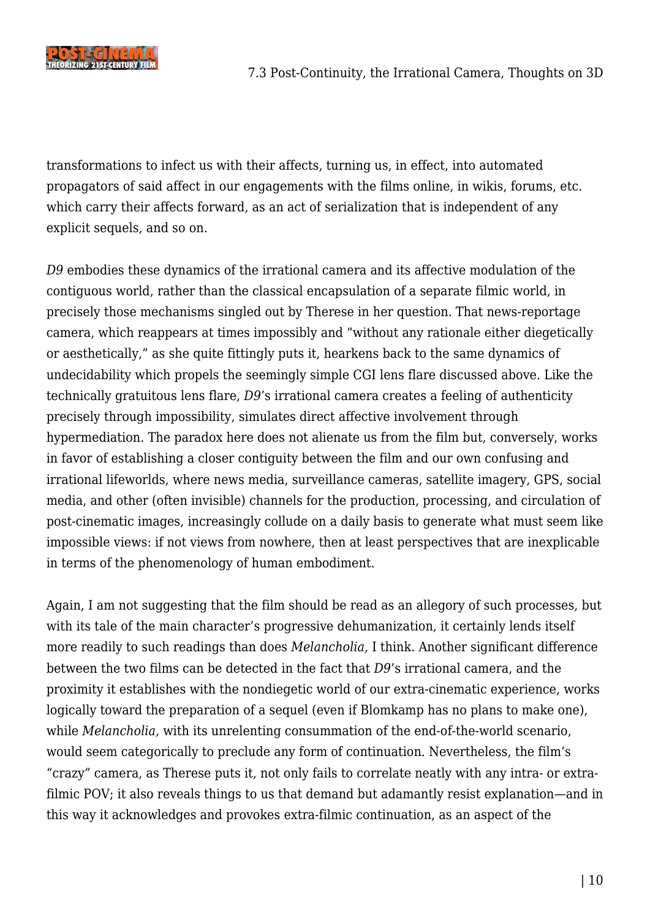

transformations to infect us with their affects, turning us, in effect, into automated propagators of said affect in our engagements with the films online, in wikis, forums, etc. which carry their affects forward, as an act of serialization that is independent of any explicit sequels, and so on.

*D9* embodies these dynamics of the irrational camera and its affective modulation of the contiguous world, rather than the classical encapsulation of a separate filmic world, in precisely those mechanisms singled out by Therese in her question. That news-reportage camera, which reappears at times impossibly and "without any rationale either diegetically or aesthetically," as she quite fittingly puts it, hearkens back to the same dynamics of undecidability which propels the seemingly simple CGI lens flare discussed above. Like the technically gratuitous lens flare, *D9*'s irrational camera creates a feeling of authenticity precisely through impossibility, simulates direct affective involvement through hypermediation. The paradox here does not alienate us from the film but, conversely, works in favor of establishing a closer contiguity between the film and our own confusing and irrational lifeworlds, where news media, surveillance cameras, satellite imagery, GPS, social media, and other (often invisible) channels for the production, processing, and circulation of post-cinematic images, increasingly collude on a daily basis to generate what must seem like impossible views: if not views from nowhere, then at least perspectives that are inexplicable in terms of the phenomenology of human embodiment.

Again, I am not suggesting that the film should be read as an allegory of such processes, but with its tale of the main character's progressive dehumanization, it certainly lends itself more readily to such readings than does *Melancholia,* I think. Another significant difference between the two films can be detected in the fact that *D9*'s irrational camera, and the proximity it establishes with the nondiegetic world of our extra-cinematic experience, works logically toward the preparation of a sequel (even if Blomkamp has no plans to make one), while *Melancholia,* with its unrelenting consummation of the end-of-the-world scenario, would seem categorically to preclude any form of continuation. Nevertheless, the film's "crazy" camera, as Therese puts it, not only fails to correlate neatly with any intra- or extrafilmic POV; it also reveals things to us that demand but adamantly resist explanation—and in this way it acknowledges and provokes extra-filmic continuation, as an aspect of the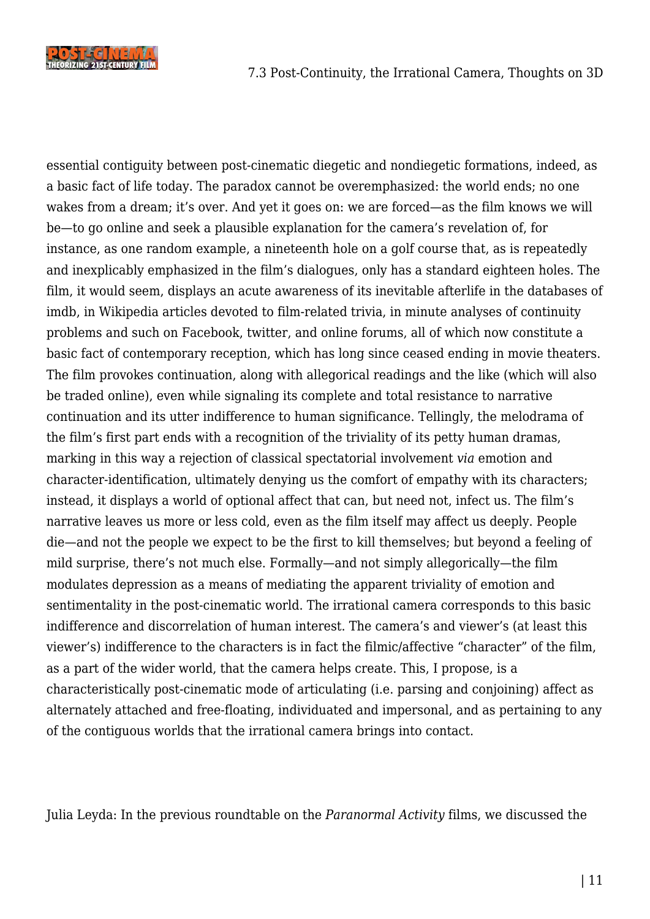

essential contiguity between post-cinematic diegetic and nondiegetic formations, indeed, as a basic fact of life today. The paradox cannot be overemphasized: the world ends; no one wakes from a dream; it's over. And yet it goes on: we are forced—as the film knows we will be—to go online and seek a plausible explanation for the camera's revelation of, for instance, as one random example, a nineteenth hole on a golf course that, as is repeatedly and inexplicably emphasized in the film's dialogues, only has a standard eighteen holes. The film, it would seem, displays an acute awareness of its inevitable afterlife in the databases of imdb, in Wikipedia articles devoted to film-related trivia, in minute analyses of continuity problems and such on Facebook, twitter, and online forums, all of which now constitute a basic fact of contemporary reception, which has long since ceased ending in movie theaters. The film provokes continuation, along with allegorical readings and the like (which will also be traded online), even while signaling its complete and total resistance to narrative continuation and its utter indifference to human significance. Tellingly, the melodrama of the film's first part ends with a recognition of the triviality of its petty human dramas, marking in this way a rejection of classical spectatorial involvement *via* emotion and character-identification, ultimately denying us the comfort of empathy with its characters; instead, it displays a world of optional affect that can, but need not, infect us. The film's narrative leaves us more or less cold, even as the film itself may affect us deeply. People die—and not the people we expect to be the first to kill themselves; but beyond a feeling of mild surprise, there's not much else. Formally—and not simply allegorically—the film modulates depression as a means of mediating the apparent triviality of emotion and sentimentality in the post-cinematic world. The irrational camera corresponds to this basic indifference and discorrelation of human interest. The camera's and viewer's (at least this viewer's) indifference to the characters is in fact the filmic/affective "character" of the film, as a part of the wider world, that the camera helps create. This, I propose, is a characteristically post-cinematic mode of articulating (i.e. parsing and conjoining) affect as alternately attached and free-floating, individuated and impersonal, and as pertaining to any of the contiguous worlds that the irrational camera brings into contact.

Julia Leyda: In the previous roundtable on the *Paranormal Activity* films, we discussed the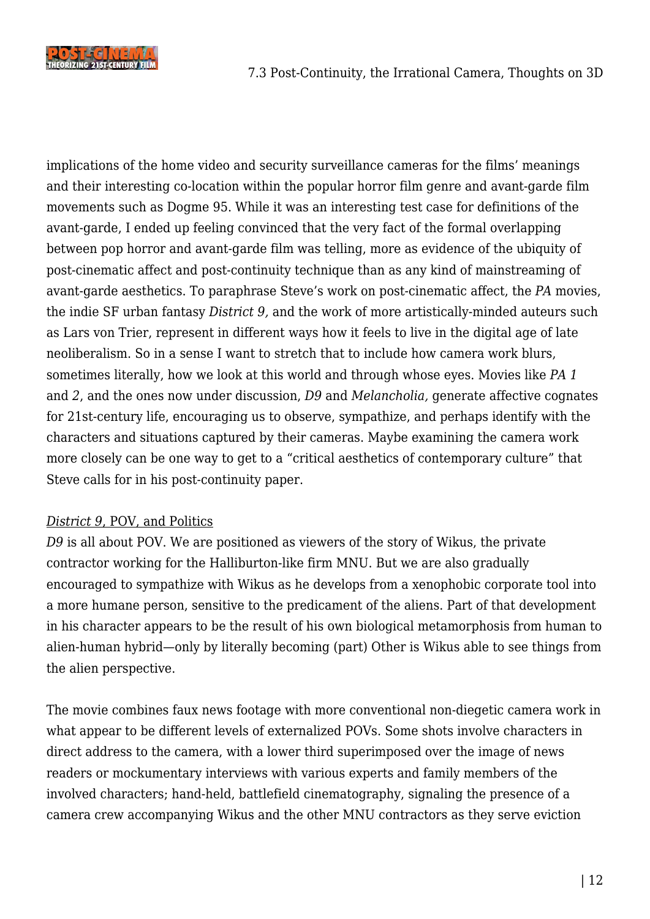

implications of the home video and security surveillance cameras for the films' meanings and their interesting co-location within the popular horror film genre and avant-garde film movements such as Dogme 95. While it was an interesting test case for definitions of the avant-garde, I ended up feeling convinced that the very fact of the formal overlapping between pop horror and avant-garde film was telling, more as evidence of the ubiquity of post-cinematic affect and post-continuity technique than as any kind of mainstreaming of avant-garde aesthetics. To paraphrase Steve's work on post-cinematic affect, the *PA* movies, the indie SF urban fantasy *District 9,* and the work of more artistically-minded auteurs such as Lars von Trier, represent in different ways how it feels to live in the digital age of late neoliberalism. So in a sense I want to stretch that to include how camera work blurs, sometimes literally, how we look at this world and through whose eyes. Movies like *PA 1* and *2*, and the ones now under discussion, *D9* and *Melancholia,* generate affective cognates for 21st-century life, encouraging us to observe, sympathize, and perhaps identify with the characters and situations captured by their cameras. Maybe examining the camera work more closely can be one way to get to a "critical aesthetics of contemporary culture" that Steve calls for in his post-continuity paper.

#### *District 9*, POV, and Politics

*D9* is all about POV. We are positioned as viewers of the story of Wikus, the private contractor working for the Halliburton-like firm MNU. But we are also gradually encouraged to sympathize with Wikus as he develops from a xenophobic corporate tool into a more humane person, sensitive to the predicament of the aliens. Part of that development in his character appears to be the result of his own biological metamorphosis from human to alien-human hybrid—only by literally becoming (part) Other is Wikus able to see things from the alien perspective.

The movie combines faux news footage with more conventional non-diegetic camera work in what appear to be different levels of externalized POVs. Some shots involve characters in direct address to the camera, with a lower third superimposed over the image of news readers or mockumentary interviews with various experts and family members of the involved characters; hand-held, battlefield cinematography, signaling the presence of a camera crew accompanying Wikus and the other MNU contractors as they serve eviction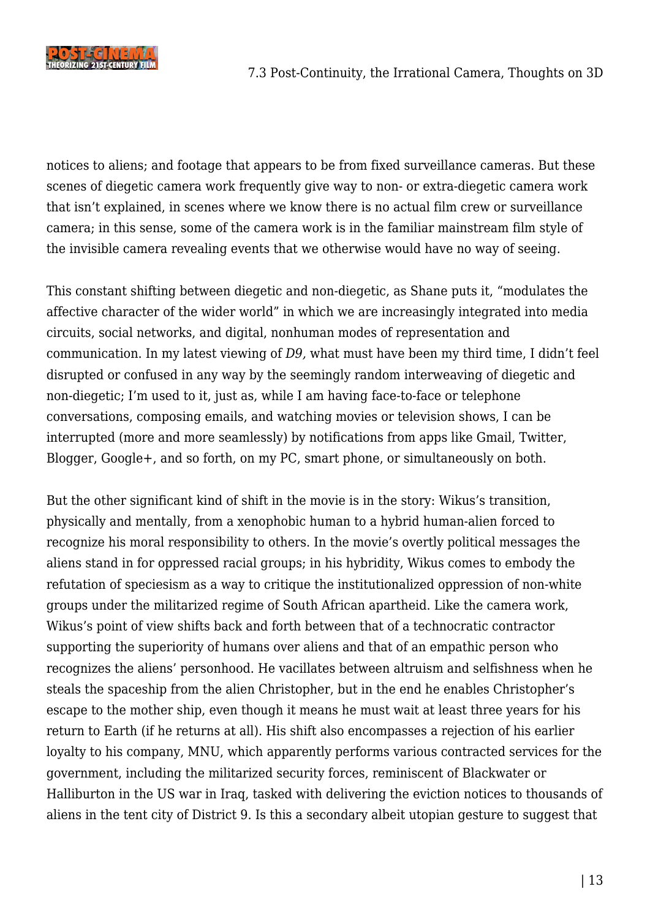

notices to aliens; and footage that appears to be from fixed surveillance cameras. But these scenes of diegetic camera work frequently give way to non- or extra-diegetic camera work that isn't explained, in scenes where we know there is no actual film crew or surveillance camera; in this sense, some of the camera work is in the familiar mainstream film style of the invisible camera revealing events that we otherwise would have no way of seeing.

This constant shifting between diegetic and non-diegetic, as Shane puts it, "modulates the affective character of the wider world" in which we are increasingly integrated into media circuits, social networks, and digital, nonhuman modes of representation and communication. In my latest viewing of *D9,* what must have been my third time, I didn't feel disrupted or confused in any way by the seemingly random interweaving of diegetic and non-diegetic; I'm used to it, just as, while I am having face-to-face or telephone conversations, composing emails, and watching movies or television shows, I can be interrupted (more and more seamlessly) by notifications from apps like Gmail, Twitter, Blogger, Google+, and so forth, on my PC, smart phone, or simultaneously on both.

But the other significant kind of shift in the movie is in the story: Wikus's transition, physically and mentally, from a xenophobic human to a hybrid human-alien forced to recognize his moral responsibility to others. In the movie's overtly political messages the aliens stand in for oppressed racial groups; in his hybridity, Wikus comes to embody the refutation of speciesism as a way to critique the institutionalized oppression of non-white groups under the militarized regime of South African apartheid. Like the camera work, Wikus's point of view shifts back and forth between that of a technocratic contractor supporting the superiority of humans over aliens and that of an empathic person who recognizes the aliens' personhood. He vacillates between altruism and selfishness when he steals the spaceship from the alien Christopher, but in the end he enables Christopher's escape to the mother ship, even though it means he must wait at least three years for his return to Earth (if he returns at all). His shift also encompasses a rejection of his earlier loyalty to his company, MNU, which apparently performs various contracted services for the government, including the militarized security forces, reminiscent of Blackwater or Halliburton in the US war in Iraq, tasked with delivering the eviction notices to thousands of aliens in the tent city of District 9. Is this a secondary albeit utopian gesture to suggest that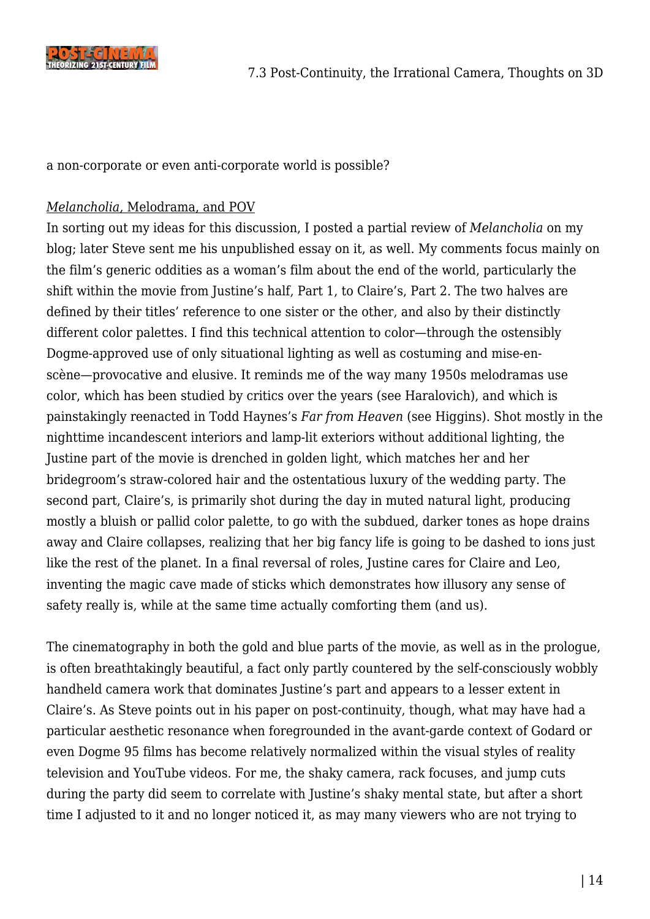

a non-corporate or even anti-corporate world is possible?

### *Melancholia,* Melodrama, and POV

In sorting out my ideas for this discussion, I posted a partial review of *Melancholia* on my blog; later Steve sent me his unpublished essay on it, as well. My comments focus mainly on the film's generic oddities as a woman's film about the end of the world, particularly the shift within the movie from Justine's half, Part 1, to Claire's, Part 2. The two halves are defined by their titles' reference to one sister or the other, and also by their distinctly different color palettes. I find this technical attention to color—through the ostensibly Dogme-approved use of only situational lighting as well as costuming and mise-enscène—provocative and elusive. It reminds me of the way many 1950s melodramas use color, which has been studied by critics over the years (see Haralovich), and which is painstakingly reenacted in Todd Haynes's *Far from Heaven* (see Higgins). Shot mostly in the nighttime incandescent interiors and lamp-lit exteriors without additional lighting, the Justine part of the movie is drenched in golden light, which matches her and her bridegroom's straw-colored hair and the ostentatious luxury of the wedding party. The second part, Claire's, is primarily shot during the day in muted natural light, producing mostly a bluish or pallid color palette, to go with the subdued, darker tones as hope drains away and Claire collapses, realizing that her big fancy life is going to be dashed to ions just like the rest of the planet. In a final reversal of roles, Justine cares for Claire and Leo, inventing the magic cave made of sticks which demonstrates how illusory any sense of safety really is, while at the same time actually comforting them (and us).

The cinematography in both the gold and blue parts of the movie, as well as in the prologue, is often breathtakingly beautiful, a fact only partly countered by the self-consciously wobbly handheld camera work that dominates Justine's part and appears to a lesser extent in Claire's. As Steve points out in his paper on post-continuity, though, what may have had a particular aesthetic resonance when foregrounded in the avant-garde context of Godard or even Dogme 95 films has become relatively normalized within the visual styles of reality television and YouTube videos. For me, the shaky camera, rack focuses, and jump cuts during the party did seem to correlate with Justine's shaky mental state, but after a short time I adjusted to it and no longer noticed it, as may many viewers who are not trying to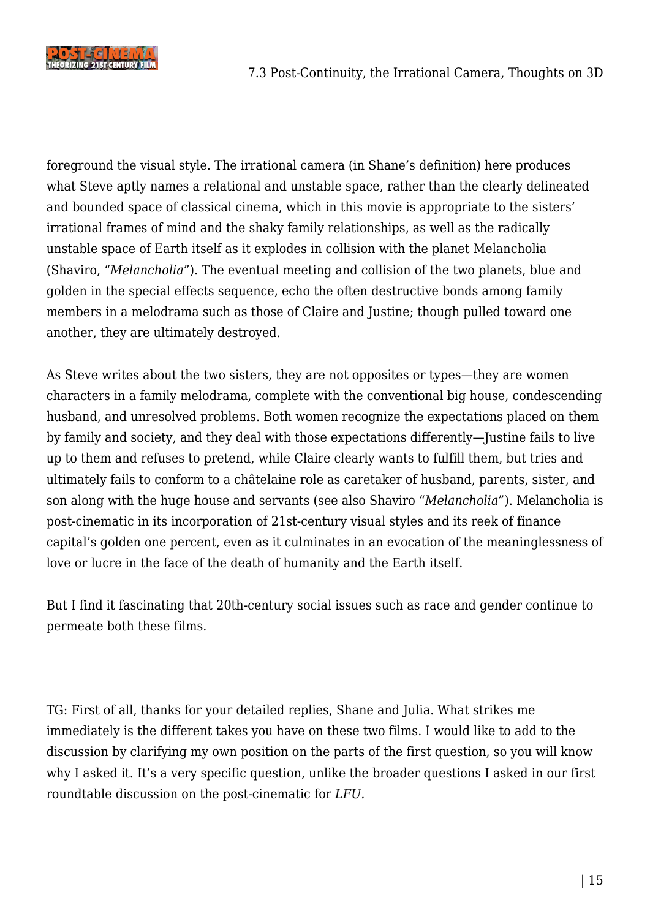

foreground the visual style. The irrational camera (in Shane's definition) here produces what Steve aptly names a relational and unstable space, rather than the clearly delineated and bounded space of classical cinema, which in this movie is appropriate to the sisters' irrational frames of mind and the shaky family relationships, as well as the radically unstable space of Earth itself as it explodes in collision with the planet Melancholia (Shaviro, "*Melancholia*"). The eventual meeting and collision of the two planets, blue and golden in the special effects sequence, echo the often destructive bonds among family members in a melodrama such as those of Claire and Justine; though pulled toward one another, they are ultimately destroyed.

As Steve writes about the two sisters, they are not opposites or types—they are women characters in a family melodrama, complete with the conventional big house, condescending husband, and unresolved problems. Both women recognize the expectations placed on them by family and society, and they deal with those expectations differently—Justine fails to live up to them and refuses to pretend, while Claire clearly wants to fulfill them, but tries and ultimately fails to conform to a châtelaine role as caretaker of husband, parents, sister, and son along with the huge house and servants (see also Shaviro "*Melancholia*"). Melancholia is post-cinematic in its incorporation of 21st-century visual styles and its reek of finance capital's golden one percent, even as it culminates in an evocation of the meaninglessness of love or lucre in the face of the death of humanity and the Earth itself.

But I find it fascinating that 20th-century social issues such as race and gender continue to permeate both these films.

TG: First of all, thanks for your detailed replies, Shane and Julia. What strikes me immediately is the different takes you have on these two films. I would like to add to the discussion by clarifying my own position on the parts of the first question, so you will know why I asked it. It's a very specific question, unlike the broader questions I asked in our first roundtable discussion on the post-cinematic for *LFU.*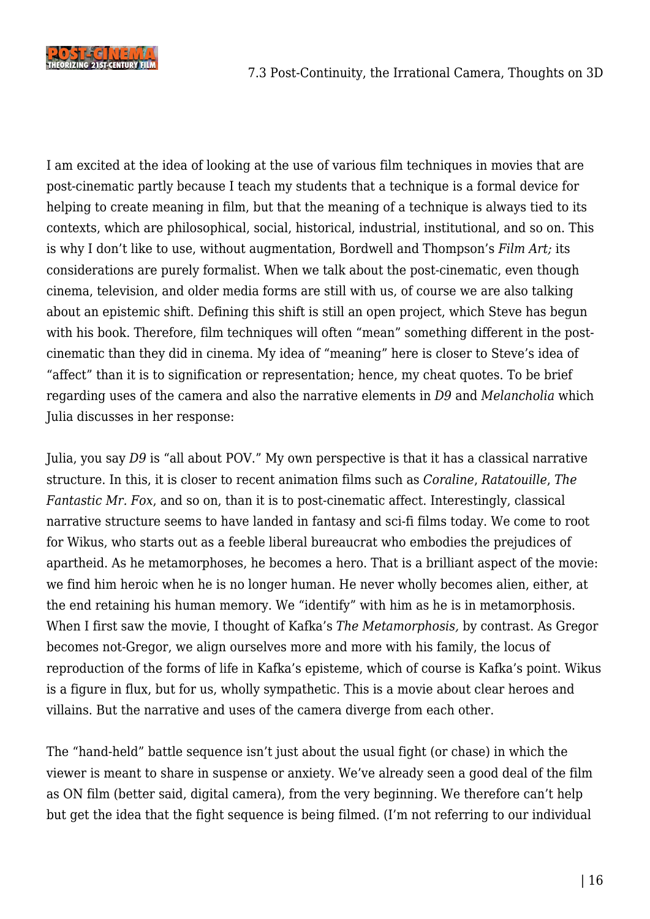

I am excited at the idea of looking at the use of various film techniques in movies that are post-cinematic partly because I teach my students that a technique is a formal device for helping to create meaning in film, but that the meaning of a technique is always tied to its contexts, which are philosophical, social, historical, industrial, institutional, and so on. This is why I don't like to use, without augmentation, Bordwell and Thompson's *Film Art;* its considerations are purely formalist. When we talk about the post-cinematic, even though cinema, television, and older media forms are still with us, of course we are also talking about an epistemic shift. Defining this shift is still an open project, which Steve has begun with his book. Therefore, film techniques will often "mean" something different in the postcinematic than they did in cinema. My idea of "meaning" here is closer to Steve's idea of "affect" than it is to signification or representation; hence, my cheat quotes. To be brief regarding uses of the camera and also the narrative elements in *D9* and *Melancholia* which Julia discusses in her response:

Julia, you say *D9* is "all about POV." My own perspective is that it has a classical narrative structure. In this, it is closer to recent animation films such as *Coraline*, *Ratatouille*, *The Fantastic Mr. Fox*, and so on, than it is to post-cinematic affect. Interestingly, classical narrative structure seems to have landed in fantasy and sci-fi films today. We come to root for Wikus, who starts out as a feeble liberal bureaucrat who embodies the prejudices of apartheid. As he metamorphoses, he becomes a hero. That is a brilliant aspect of the movie: we find him heroic when he is no longer human. He never wholly becomes alien, either, at the end retaining his human memory. We "identify" with him as he is in metamorphosis. When I first saw the movie, I thought of Kafka's *The Metamorphosis,* by contrast. As Gregor becomes not-Gregor, we align ourselves more and more with his family, the locus of reproduction of the forms of life in Kafka's episteme, which of course is Kafka's point. Wikus is a figure in flux, but for us, wholly sympathetic. This is a movie about clear heroes and villains. But the narrative and uses of the camera diverge from each other.

The "hand-held" battle sequence isn't just about the usual fight (or chase) in which the viewer is meant to share in suspense or anxiety. We've already seen a good deal of the film as ON film (better said, digital camera), from the very beginning. We therefore can't help but get the idea that the fight sequence is being filmed. (I'm not referring to our individual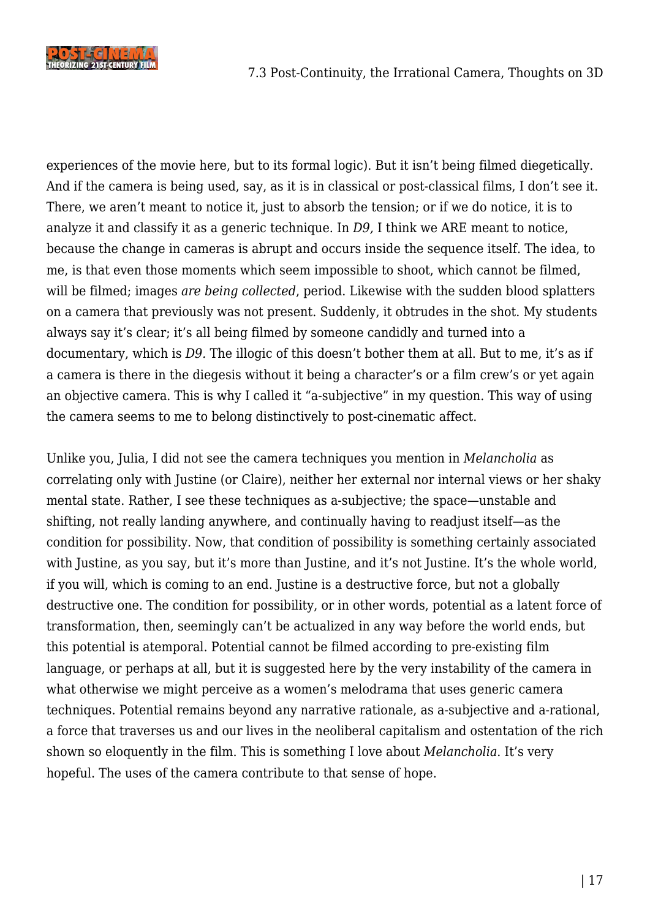

experiences of the movie here, but to its formal logic). But it isn't being filmed diegetically. And if the camera is being used, say, as it is in classical or post-classical films, I don't see it. There, we aren't meant to notice it, just to absorb the tension; or if we do notice, it is to analyze it and classify it as a generic technique. In *D9,* I think we ARE meant to notice, because the change in cameras is abrupt and occurs inside the sequence itself. The idea, to me, is that even those moments which seem impossible to shoot, which cannot be filmed, will be filmed; images *are being collected*, period. Likewise with the sudden blood splatters on a camera that previously was not present. Suddenly, it obtrudes in the shot. My students always say it's clear; it's all being filmed by someone candidly and turned into a documentary, which is *D9.* The illogic of this doesn't bother them at all. But to me, it's as if a camera is there in the diegesis without it being a character's or a film crew's or yet again an objective camera. This is why I called it "a-subjective" in my question. This way of using the camera seems to me to belong distinctively to post-cinematic affect.

Unlike you, Julia, I did not see the camera techniques you mention in *Melancholia* as correlating only with Justine (or Claire), neither her external nor internal views or her shaky mental state. Rather, I see these techniques as a-subjective; the space—unstable and shifting, not really landing anywhere, and continually having to readjust itself—as the condition for possibility. Now, that condition of possibility is something certainly associated with Justine, as you say, but it's more than Justine, and it's not Justine. It's the whole world, if you will, which is coming to an end. Justine is a destructive force, but not a globally destructive one. The condition for possibility, or in other words, potential as a latent force of transformation, then, seemingly can't be actualized in any way before the world ends, but this potential is atemporal. Potential cannot be filmed according to pre-existing film language, or perhaps at all, but it is suggested here by the very instability of the camera in what otherwise we might perceive as a women's melodrama that uses generic camera techniques. Potential remains beyond any narrative rationale, as a-subjective and a-rational, a force that traverses us and our lives in the neoliberal capitalism and ostentation of the rich shown so eloquently in the film. This is something I love about *Melancholia*. It's very hopeful. The uses of the camera contribute to that sense of hope.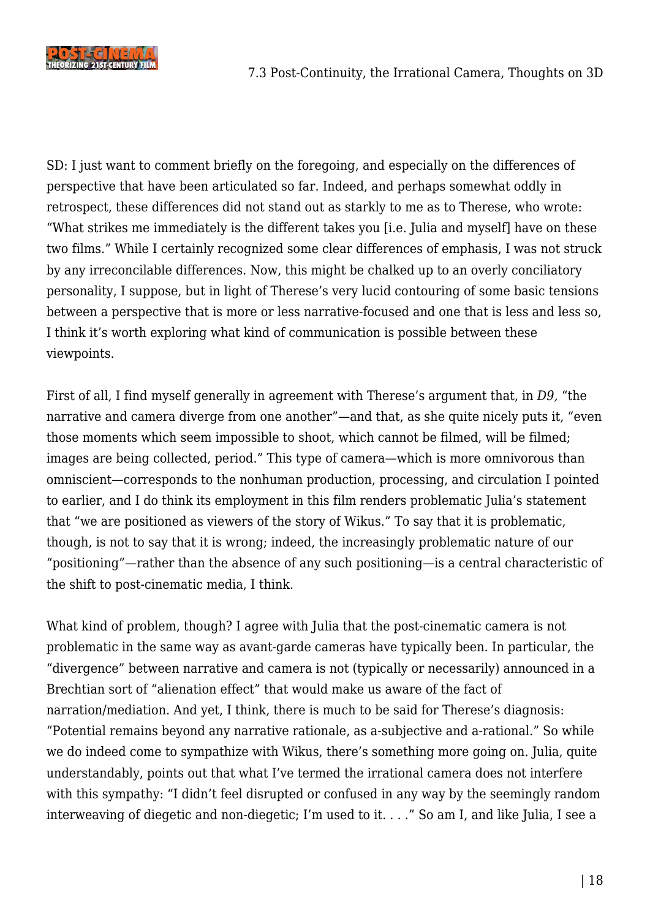

SD: I just want to comment briefly on the foregoing, and especially on the differences of perspective that have been articulated so far. Indeed, and perhaps somewhat oddly in retrospect, these differences did not stand out as starkly to me as to Therese, who wrote: "What strikes me immediately is the different takes you [i.e. Julia and myself] have on these two films." While I certainly recognized some clear differences of emphasis, I was not struck by any irreconcilable differences. Now, this might be chalked up to an overly conciliatory personality, I suppose, but in light of Therese's very lucid contouring of some basic tensions between a perspective that is more or less narrative-focused and one that is less and less so, I think it's worth exploring what kind of communication is possible between these viewpoints.

First of all, I find myself generally in agreement with Therese's argument that, in *D9,* "the narrative and camera diverge from one another"—and that, as she quite nicely puts it, "even those moments which seem impossible to shoot, which cannot be filmed, will be filmed; images are being collected, period." This type of camera—which is more omnivorous than omniscient—corresponds to the nonhuman production, processing, and circulation I pointed to earlier, and I do think its employment in this film renders problematic Julia's statement that "we are positioned as viewers of the story of Wikus." To say that it is problematic, though, is not to say that it is wrong; indeed, the increasingly problematic nature of our "positioning"—rather than the absence of any such positioning—is a central characteristic of the shift to post-cinematic media, I think.

What kind of problem, though? I agree with Julia that the post-cinematic camera is not problematic in the same way as avant-garde cameras have typically been. In particular, the "divergence" between narrative and camera is not (typically or necessarily) announced in a Brechtian sort of "alienation effect" that would make us aware of the fact of narration/mediation. And yet, I think, there is much to be said for Therese's diagnosis: "Potential remains beyond any narrative rationale, as a-subjective and a-rational." So while we do indeed come to sympathize with Wikus, there's something more going on. Julia, quite understandably, points out that what I've termed the irrational camera does not interfere with this sympathy: "I didn't feel disrupted or confused in any way by the seemingly random interweaving of diegetic and non-diegetic; I'm used to it. . . ." So am I, and like Julia, I see a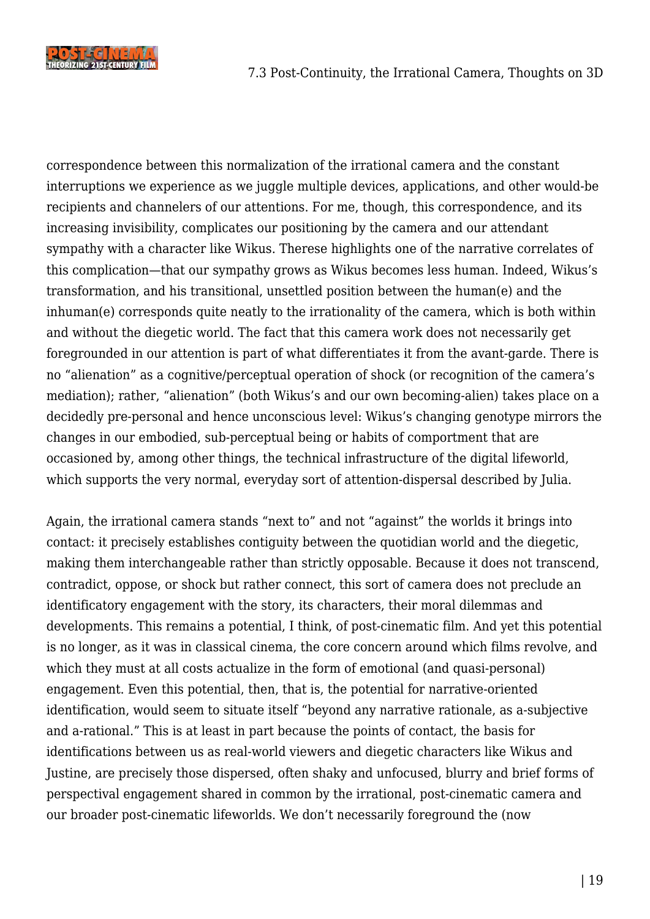

correspondence between this normalization of the irrational camera and the constant interruptions we experience as we juggle multiple devices, applications, and other would-be recipients and channelers of our attentions. For me, though, this correspondence, and its increasing invisibility, complicates our positioning by the camera and our attendant sympathy with a character like Wikus. Therese highlights one of the narrative correlates of this complication—that our sympathy grows as Wikus becomes less human. Indeed, Wikus's transformation, and his transitional, unsettled position between the human(e) and the inhuman(e) corresponds quite neatly to the irrationality of the camera, which is both within and without the diegetic world. The fact that this camera work does not necessarily get foregrounded in our attention is part of what differentiates it from the avant-garde. There is no "alienation" as a cognitive/perceptual operation of shock (or recognition of the camera's mediation); rather, "alienation" (both Wikus's and our own becoming-alien) takes place on a decidedly pre-personal and hence unconscious level: Wikus's changing genotype mirrors the changes in our embodied, sub-perceptual being or habits of comportment that are occasioned by, among other things, the technical infrastructure of the digital lifeworld, which supports the very normal, everyday sort of attention-dispersal described by Julia.

Again, the irrational camera stands "next to" and not "against" the worlds it brings into contact: it precisely establishes contiguity between the quotidian world and the diegetic, making them interchangeable rather than strictly opposable. Because it does not transcend, contradict, oppose, or shock but rather connect, this sort of camera does not preclude an identificatory engagement with the story, its characters, their moral dilemmas and developments. This remains a potential, I think, of post-cinematic film. And yet this potential is no longer, as it was in classical cinema, the core concern around which films revolve, and which they must at all costs actualize in the form of emotional (and quasi-personal) engagement. Even this potential, then, that is, the potential for narrative-oriented identification, would seem to situate itself "beyond any narrative rationale, as a-subjective and a-rational." This is at least in part because the points of contact, the basis for identifications between us as real-world viewers and diegetic characters like Wikus and Justine, are precisely those dispersed, often shaky and unfocused, blurry and brief forms of perspectival engagement shared in common by the irrational, post-cinematic camera and our broader post-cinematic lifeworlds. We don't necessarily foreground the (now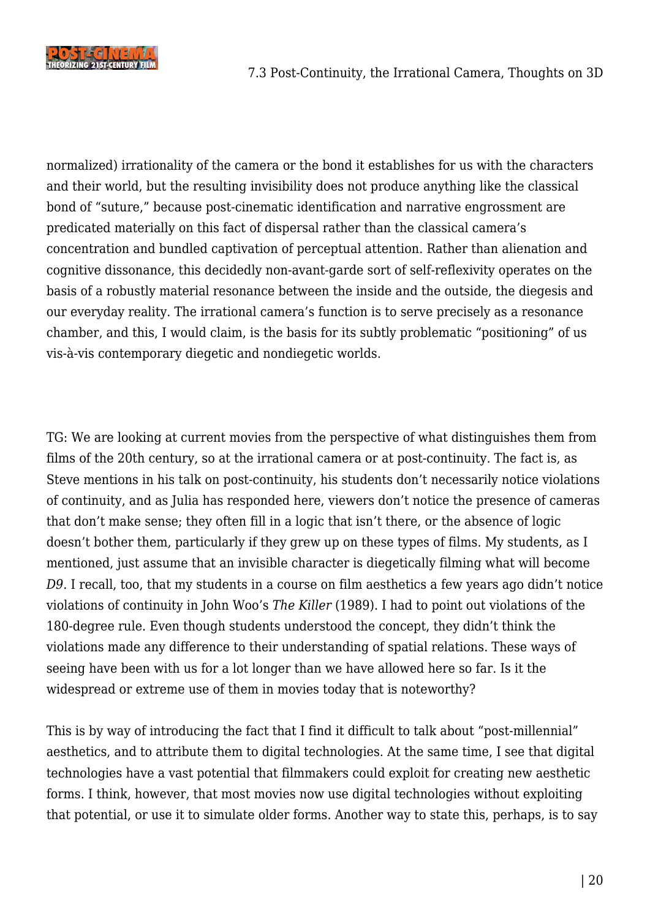

normalized) irrationality of the camera or the bond it establishes for us with the characters and their world, but the resulting invisibility does not produce anything like the classical bond of "suture," because post-cinematic identification and narrative engrossment are predicated materially on this fact of dispersal rather than the classical camera's concentration and bundled captivation of perceptual attention. Rather than alienation and cognitive dissonance, this decidedly non-avant-garde sort of self-reflexivity operates on the basis of a robustly material resonance between the inside and the outside, the diegesis and our everyday reality. The irrational camera's function is to serve precisely as a resonance chamber, and this, I would claim, is the basis for its subtly problematic "positioning" of us vis-à-vis contemporary diegetic and nondiegetic worlds.

TG: We are looking at current movies from the perspective of what distinguishes them from films of the 20th century, so at the irrational camera or at post-continuity. The fact is, as Steve mentions in his talk on post-continuity, his students don't necessarily notice violations of continuity, and as Julia has responded here, viewers don't notice the presence of cameras that don't make sense; they often fill in a logic that isn't there, or the absence of logic doesn't bother them, particularly if they grew up on these types of films. My students, as I mentioned, just assume that an invisible character is diegetically filming what will become *D9.* I recall, too, that my students in a course on film aesthetics a few years ago didn't notice violations of continuity in John Woo's *The Killer* (1989). I had to point out violations of the 180-degree rule. Even though students understood the concept, they didn't think the violations made any difference to their understanding of spatial relations. These ways of seeing have been with us for a lot longer than we have allowed here so far. Is it the widespread or extreme use of them in movies today that is noteworthy?

This is by way of introducing the fact that I find it difficult to talk about "post-millennial" aesthetics, and to attribute them to digital technologies. At the same time, I see that digital technologies have a vast potential that filmmakers could exploit for creating new aesthetic forms. I think, however, that most movies now use digital technologies without exploiting that potential, or use it to simulate older forms. Another way to state this, perhaps, is to say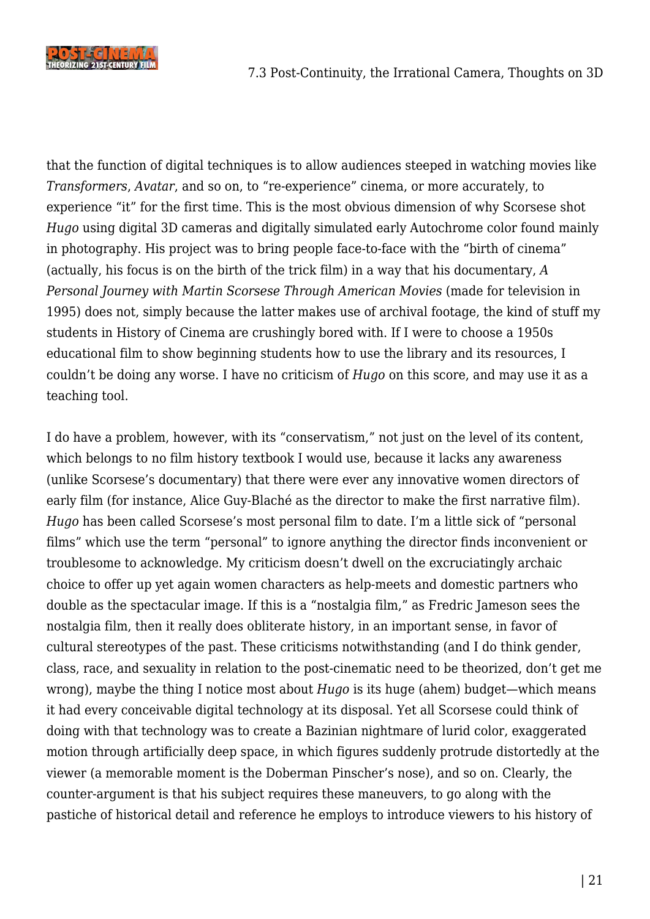

that the function of digital techniques is to allow audiences steeped in watching movies like *Transformers*, *Avatar*, and so on, to "re-experience" cinema, or more accurately, to experience "it" for the first time. This is the most obvious dimension of why Scorsese shot *Hugo* using digital 3D cameras and digitally simulated early Autochrome color found mainly in photography. His project was to bring people face-to-face with the "birth of cinema" (actually, his focus is on the birth of the trick film) in a way that his documentary, *A Personal Journey with Martin Scorsese Through American Movies* (made for television in 1995) does not, simply because the latter makes use of archival footage, the kind of stuff my students in History of Cinema are crushingly bored with. If I were to choose a 1950s educational film to show beginning students how to use the library and its resources, I couldn't be doing any worse. I have no criticism of *Hugo* on this score, and may use it as a teaching tool.

I do have a problem, however, with its "conservatism," not just on the level of its content, which belongs to no film history textbook I would use, because it lacks any awareness (unlike Scorsese's documentary) that there were ever any innovative women directors of early film (for instance, Alice Guy-Blaché as the director to make the first narrative film). *Hugo* has been called Scorsese's most personal film to date. I'm a little sick of "personal films" which use the term "personal" to ignore anything the director finds inconvenient or troublesome to acknowledge. My criticism doesn't dwell on the excruciatingly archaic choice to offer up yet again women characters as help-meets and domestic partners who double as the spectacular image. If this is a "nostalgia film," as Fredric Jameson sees the nostalgia film, then it really does obliterate history, in an important sense, in favor of cultural stereotypes of the past. These criticisms notwithstanding (and I do think gender, class, race, and sexuality in relation to the post-cinematic need to be theorized, don't get me wrong), maybe the thing I notice most about *Hugo* is its huge (ahem) budget—which means it had every conceivable digital technology at its disposal. Yet all Scorsese could think of doing with that technology was to create a Bazinian nightmare of lurid color, exaggerated motion through artificially deep space, in which figures suddenly protrude distortedly at the viewer (a memorable moment is the Doberman Pinscher's nose), and so on. Clearly, the counter-argument is that his subject requires these maneuvers, to go along with the pastiche of historical detail and reference he employs to introduce viewers to his history of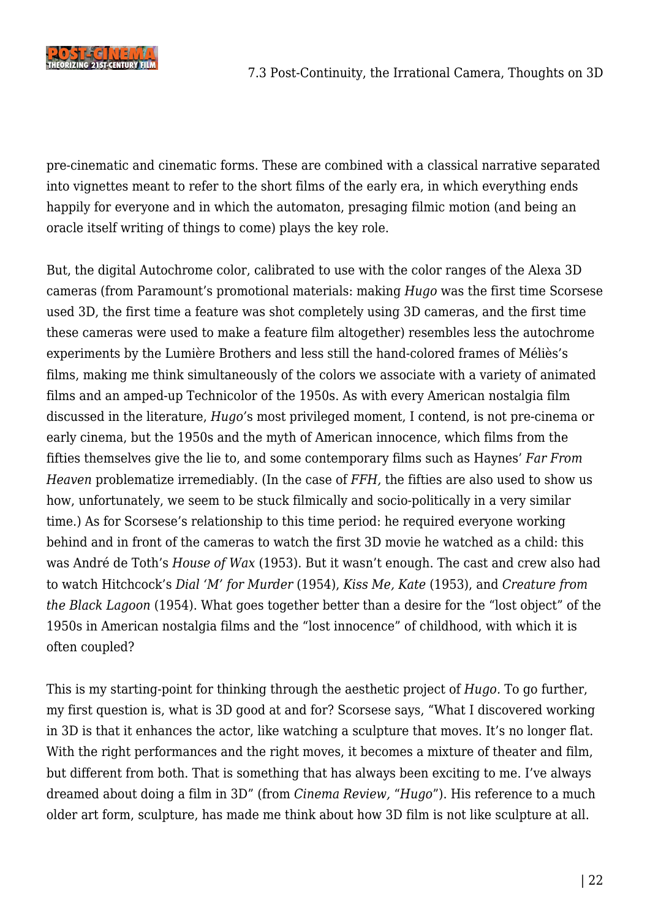

pre-cinematic and cinematic forms. These are combined with a classical narrative separated into vignettes meant to refer to the short films of the early era, in which everything ends happily for everyone and in which the automaton, presaging filmic motion (and being an oracle itself writing of things to come) plays the key role.

But, the digital Autochrome color, calibrated to use with the color ranges of the Alexa 3D cameras (from Paramount's promotional materials: making *Hugo* was the first time Scorsese used 3D, the first time a feature was shot completely using 3D cameras, and the first time these cameras were used to make a feature film altogether) resembles less the autochrome experiments by the Lumière Brothers and less still the hand-colored frames of Méliès's films, making me think simultaneously of the colors we associate with a variety of animated films and an amped-up Technicolor of the 1950s. As with every American nostalgia film discussed in the literature, *Hugo'*s most privileged moment, I contend, is not pre-cinema or early cinema, but the 1950s and the myth of American innocence, which films from the fifties themselves give the lie to, and some contemporary films such as Haynes' *Far From Heaven* problematize irremediably. (In the case of *FFH,* the fifties are also used to show us how, unfortunately, we seem to be stuck filmically and socio-politically in a very similar time.) As for Scorsese's relationship to this time period: he required everyone working behind and in front of the cameras to watch the first 3D movie he watched as a child: this was André de Toth's *House of Wax* (1953). But it wasn't enough. The cast and crew also had to watch Hitchcock's *Dial 'M' for Murder* (1954), *Kiss Me, Kate* (1953), and *Creature from the Black Lagoon* (1954). What goes together better than a desire for the "lost object" of the 1950s in American nostalgia films and the "lost innocence" of childhood, with which it is often coupled?

This is my starting-point for thinking through the aesthetic project of *Hugo.* To go further, my first question is, what is 3D good at and for? Scorsese says, "What I discovered working in 3D is that it enhances the actor, like watching a sculpture that moves. It's no longer flat. With the right performances and the right moves, it becomes a mixture of theater and film, but different from both. That is something that has always been exciting to me. I've always dreamed about doing a film in 3D" (from *Cinema Review,* "*Hugo*"). His reference to a much older art form, sculpture, has made me think about how 3D film is not like sculpture at all.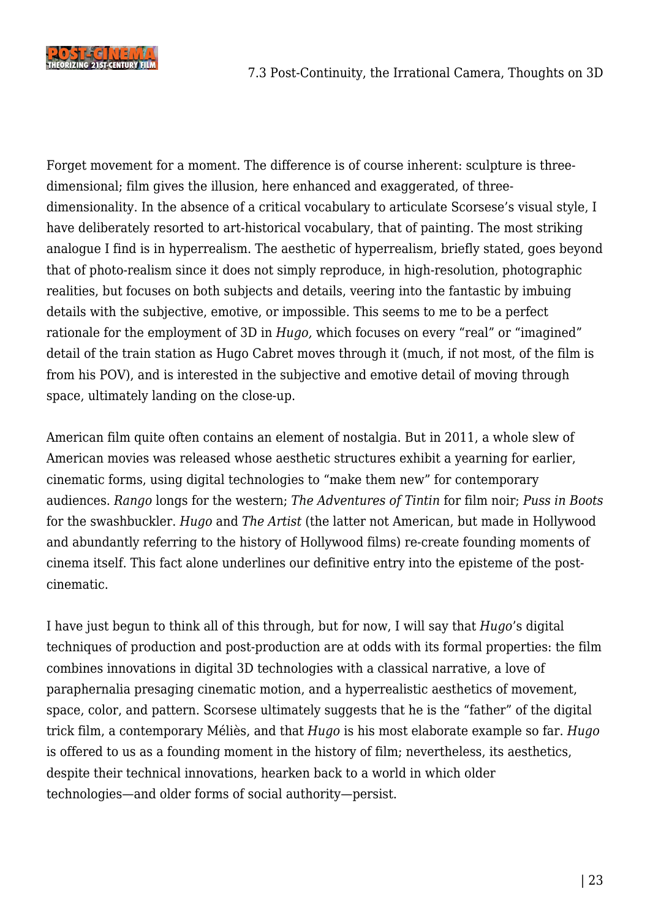

Forget movement for a moment. The difference is of course inherent: sculpture is threedimensional; film gives the illusion, here enhanced and exaggerated, of threedimensionality. In the absence of a critical vocabulary to articulate Scorsese's visual style, I have deliberately resorted to art-historical vocabulary, that of painting. The most striking analogue I find is in hyperrealism. The aesthetic of hyperrealism, briefly stated, goes beyond that of photo-realism since it does not simply reproduce, in high-resolution, photographic realities, but focuses on both subjects and details, veering into the fantastic by imbuing details with the subjective, emotive, or impossible. This seems to me to be a perfect rationale for the employment of 3D in *Hugo,* which focuses on every "real" or "imagined" detail of the train station as Hugo Cabret moves through it (much, if not most, of the film is from his POV), and is interested in the subjective and emotive detail of moving through space, ultimately landing on the close-up.

American film quite often contains an element of nostalgia. But in 2011, a whole slew of American movies was released whose aesthetic structures exhibit a yearning for earlier, cinematic forms, using digital technologies to "make them new" for contemporary audiences. *Rango* longs for the western; *The Adventures of Tintin* for film noir; *Puss in Boots* for the swashbuckler. *Hugo* and *The Artist* (the latter not American, but made in Hollywood and abundantly referring to the history of Hollywood films) re-create founding moments of cinema itself. This fact alone underlines our definitive entry into the episteme of the postcinematic.

I have just begun to think all of this through, but for now, I will say that *Hugo*'s digital techniques of production and post-production are at odds with its formal properties: the film combines innovations in digital 3D technologies with a classical narrative, a love of paraphernalia presaging cinematic motion, and a hyperrealistic aesthetics of movement, space, color, and pattern. Scorsese ultimately suggests that he is the "father" of the digital trick film, a contemporary Méliès, and that *Hugo* is his most elaborate example so far. *Hugo* is offered to us as a founding moment in the history of film; nevertheless, its aesthetics, despite their technical innovations, hearken back to a world in which older technologies—and older forms of social authority—persist.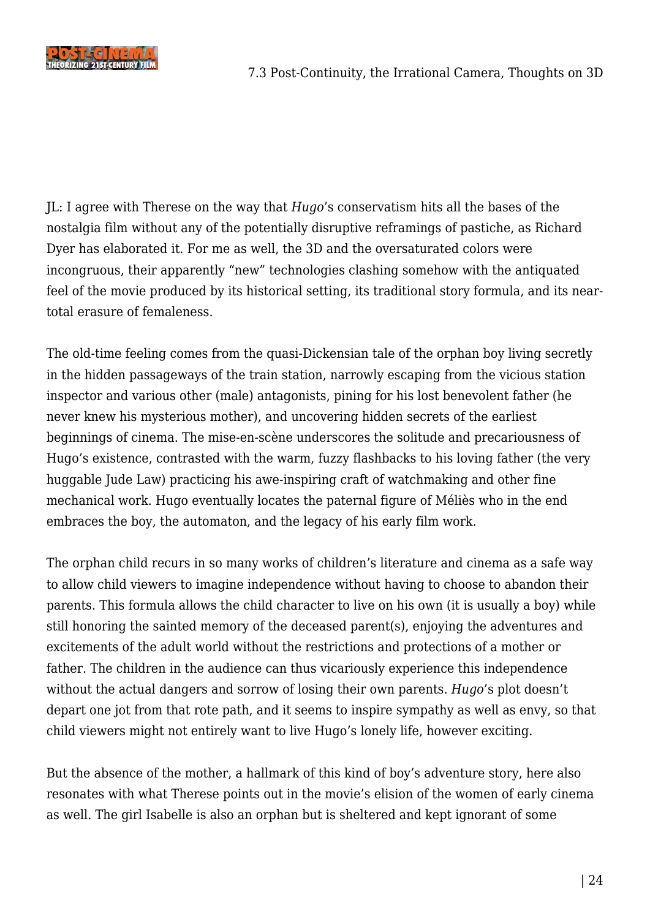JL: I agree with Therese on the way that *Hugo*'s conservatism hits all the bases of the nostalgia film without any of the potentially disruptive reframings of pastiche, as Richard Dyer has elaborated it. For me as well, the 3D and the oversaturated colors were incongruous, their apparently "new" technologies clashing somehow with the antiquated feel of the movie produced by its historical setting, its traditional story formula, and its neartotal erasure of femaleness.

The old-time feeling comes from the quasi-Dickensian tale of the orphan boy living secretly in the hidden passageways of the train station, narrowly escaping from the vicious station inspector and various other (male) antagonists, pining for his lost benevolent father (he never knew his mysterious mother), and uncovering hidden secrets of the earliest beginnings of cinema. The mise-en-scène underscores the solitude and precariousness of Hugo's existence, contrasted with the warm, fuzzy flashbacks to his loving father (the very huggable Jude Law) practicing his awe-inspiring craft of watchmaking and other fine mechanical work. Hugo eventually locates the paternal figure of Méliès who in the end embraces the boy, the automaton, and the legacy of his early film work.

The orphan child recurs in so many works of children's literature and cinema as a safe way to allow child viewers to imagine independence without having to choose to abandon their parents. This formula allows the child character to live on his own (it is usually a boy) while still honoring the sainted memory of the deceased parent(s), enjoying the adventures and excitements of the adult world without the restrictions and protections of a mother or father. The children in the audience can thus vicariously experience this independence without the actual dangers and sorrow of losing their own parents. *Hugo*'s plot doesn't depart one jot from that rote path, and it seems to inspire sympathy as well as envy, so that child viewers might not entirely want to live Hugo's lonely life, however exciting.

But the absence of the mother, a hallmark of this kind of boy's adventure story, here also resonates with what Therese points out in the movie's elision of the women of early cinema as well. The girl Isabelle is also an orphan but is sheltered and kept ignorant of some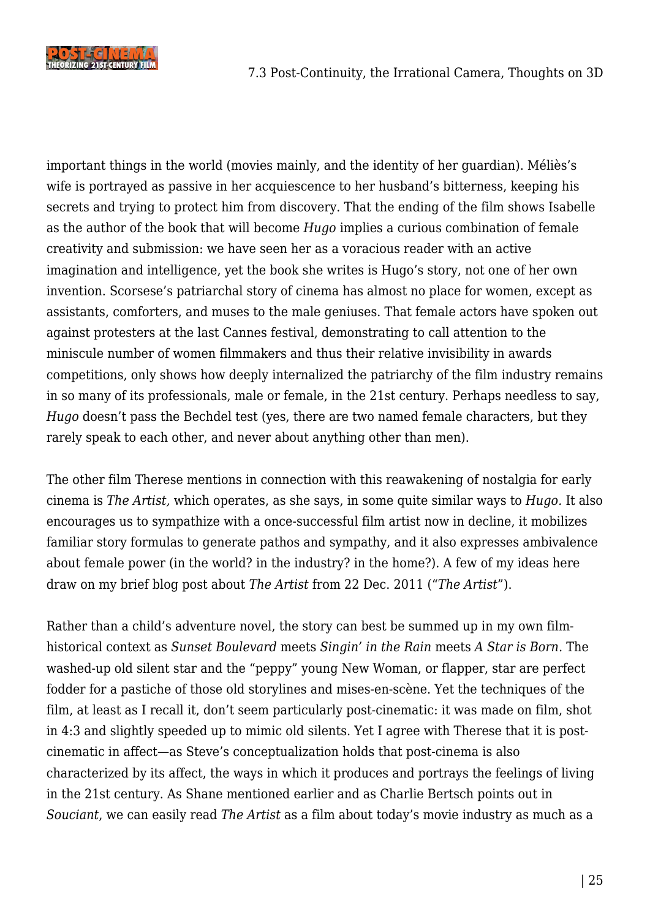

important things in the world (movies mainly, and the identity of her guardian). Méliès's wife is portrayed as passive in her acquiescence to her husband's bitterness, keeping his secrets and trying to protect him from discovery. That the ending of the film shows Isabelle as the author of the book that will become *Hugo* implies a curious combination of female creativity and submission: we have seen her as a voracious reader with an active imagination and intelligence, yet the book she writes is Hugo's story, not one of her own invention. Scorsese's patriarchal story of cinema has almost no place for women, except as assistants, comforters, and muses to the male geniuses. That female actors have spoken out against protesters at the last Cannes festival, demonstrating to call attention to the miniscule number of women filmmakers and thus their relative invisibility in awards competitions, only shows how deeply internalized the patriarchy of the film industry remains in so many of its professionals, male or female, in the 21st century. Perhaps needless to say, *Hugo* doesn't pass the Bechdel test (yes, there are two named female characters, but they rarely speak to each other, and never about anything other than men).

The other film Therese mentions in connection with this reawakening of nostalgia for early cinema is *The Artist,* which operates, as she says, in some quite similar ways to *Hugo.* It also encourages us to sympathize with a once-successful film artist now in decline, it mobilizes familiar story formulas to generate pathos and sympathy, and it also expresses ambivalence about female power (in the world? in the industry? in the home?). A few of my ideas here draw on my brief blog post about *The Artist* from 22 Dec. 2011 ("*The Artist*").

Rather than a child's adventure novel, the story can best be summed up in my own filmhistorical context as *Sunset Boulevard* meets *Singin' in the Rain* meets *A Star is Born.* The washed-up old silent star and the "peppy" young New Woman, or flapper, star are perfect fodder for a pastiche of those old storylines and mises-en-scène. Yet the techniques of the film, at least as I recall it, don't seem particularly post-cinematic: it was made on film, shot in 4:3 and slightly speeded up to mimic old silents. Yet I agree with Therese that it is postcinematic in affect—as Steve's conceptualization holds that post-cinema is also characterized by its affect, the ways in which it produces and portrays the feelings of living in the 21st century. As Shane mentioned earlier and as Charlie Bertsch points out in *Souciant*, we can easily read *The Artist* as a film about today's movie industry as much as a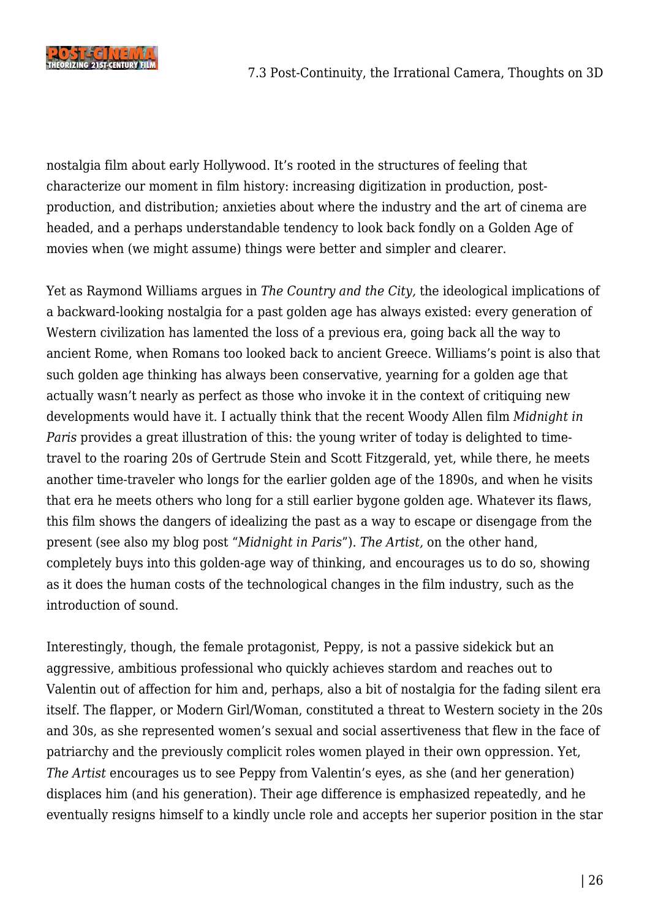

nostalgia film about early Hollywood. It's rooted in the structures of feeling that characterize our moment in film history: increasing digitization in production, postproduction, and distribution; anxieties about where the industry and the art of cinema are headed, and a perhaps understandable tendency to look back fondly on a Golden Age of movies when (we might assume) things were better and simpler and clearer.

Yet as Raymond Williams argues in *The Country and the City,* the ideological implications of a backward-looking nostalgia for a past golden age has always existed: every generation of Western civilization has lamented the loss of a previous era, going back all the way to ancient Rome, when Romans too looked back to ancient Greece. Williams's point is also that such golden age thinking has always been conservative, yearning for a golden age that actually wasn't nearly as perfect as those who invoke it in the context of critiquing new developments would have it. I actually think that the recent Woody Allen film *Midnight in Paris* provides a great illustration of this: the young writer of today is delighted to timetravel to the roaring 20s of Gertrude Stein and Scott Fitzgerald, yet, while there, he meets another time-traveler who longs for the earlier golden age of the 1890s, and when he visits that era he meets others who long for a still earlier bygone golden age. Whatever its flaws, this film shows the dangers of idealizing the past as a way to escape or disengage from the present (see also my blog post "*Midnight in Paris*"). *The Artist,* on the other hand, completely buys into this golden-age way of thinking, and encourages us to do so, showing as it does the human costs of the technological changes in the film industry, such as the introduction of sound.

Interestingly, though, the female protagonist, Peppy, is not a passive sidekick but an aggressive, ambitious professional who quickly achieves stardom and reaches out to Valentin out of affection for him and, perhaps, also a bit of nostalgia for the fading silent era itself. The flapper, or Modern Girl/Woman, constituted a threat to Western society in the 20s and 30s, as she represented women's sexual and social assertiveness that flew in the face of patriarchy and the previously complicit roles women played in their own oppression. Yet, *The Artist* encourages us to see Peppy from Valentin's eyes, as she (and her generation) displaces him (and his generation). Their age difference is emphasized repeatedly, and he eventually resigns himself to a kindly uncle role and accepts her superior position in the star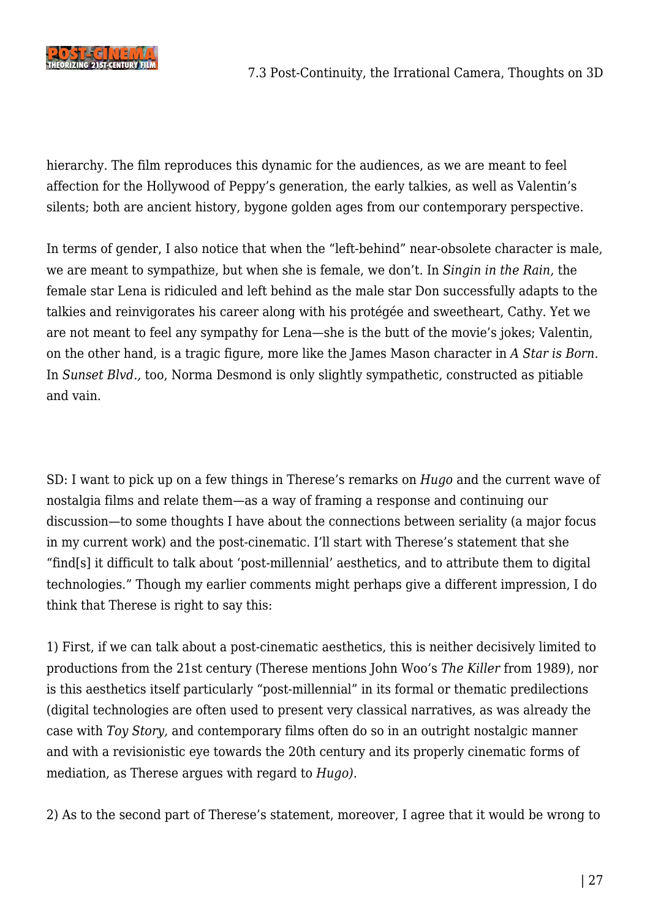

hierarchy. The film reproduces this dynamic for the audiences, as we are meant to feel affection for the Hollywood of Peppy's generation, the early talkies, as well as Valentin's silents; both are ancient history, bygone golden ages from our contemporary perspective.

In terms of gender, I also notice that when the "left-behind" near-obsolete character is male, we are meant to sympathize, but when she is female, we don't. In *Singin in the Rain,* the female star Lena is ridiculed and left behind as the male star Don successfully adapts to the talkies and reinvigorates his career along with his protégée and sweetheart, Cathy. Yet we are not meant to feel any sympathy for Lena—she is the butt of the movie's jokes; Valentin, on the other hand, is a tragic figure, more like the James Mason character in *A Star is Born.* In *Sunset Blvd.,* too, Norma Desmond is only slightly sympathetic, constructed as pitiable and vain.

SD: I want to pick up on a few things in Therese's remarks on *Hugo* and the current wave of nostalgia films and relate them—as a way of framing a response and continuing our discussion—to some thoughts I have about the connections between seriality (a major focus in my current work) and the post-cinematic. I'll start with Therese's statement that she "find[s] it difficult to talk about 'post-millennial' aesthetics, and to attribute them to digital technologies." Though my earlier comments might perhaps give a different impression, I do think that Therese is right to say this:

1) First, if we can talk about a post-cinematic aesthetics, this is neither decisively limited to productions from the 21st century (Therese mentions John Woo's *The Killer* from 1989), nor is this aesthetics itself particularly "post-millennial" in its formal or thematic predilections (digital technologies are often used to present very classical narratives, as was already the case with *Toy Story,* and contemporary films often do so in an outright nostalgic manner and with a revisionistic eye towards the 20th century and its properly cinematic forms of mediation, as Therese argues with regard to *Hugo).*

2) As to the second part of Therese's statement, moreover, I agree that it would be wrong to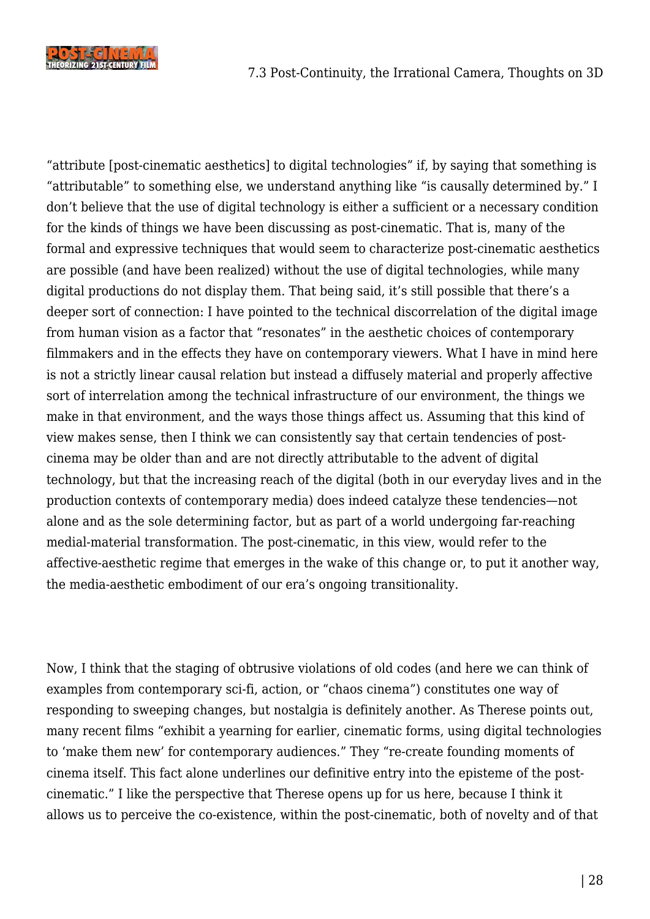

"attribute [post-cinematic aesthetics] to digital technologies" if, by saying that something is "attributable" to something else, we understand anything like "is causally determined by." I don't believe that the use of digital technology is either a sufficient or a necessary condition for the kinds of things we have been discussing as post-cinematic. That is, many of the formal and expressive techniques that would seem to characterize post-cinematic aesthetics are possible (and have been realized) without the use of digital technologies, while many digital productions do not display them. That being said, it's still possible that there's a deeper sort of connection: I have pointed to the technical discorrelation of the digital image from human vision as a factor that "resonates" in the aesthetic choices of contemporary filmmakers and in the effects they have on contemporary viewers. What I have in mind here is not a strictly linear causal relation but instead a diffusely material and properly affective sort of interrelation among the technical infrastructure of our environment, the things we make in that environment, and the ways those things affect us. Assuming that this kind of view makes sense, then I think we can consistently say that certain tendencies of postcinema may be older than and are not directly attributable to the advent of digital technology, but that the increasing reach of the digital (both in our everyday lives and in the production contexts of contemporary media) does indeed catalyze these tendencies—not alone and as the sole determining factor, but as part of a world undergoing far-reaching medial-material transformation. The post-cinematic, in this view, would refer to the affective-aesthetic regime that emerges in the wake of this change or, to put it another way, the media-aesthetic embodiment of our era's ongoing transitionality.

Now, I think that the staging of obtrusive violations of old codes (and here we can think of examples from contemporary sci-fi, action, or "chaos cinema") constitutes one way of responding to sweeping changes, but nostalgia is definitely another. As Therese points out, many recent films "exhibit a yearning for earlier, cinematic forms, using digital technologies to 'make them new' for contemporary audiences." They "re-create founding moments of cinema itself. This fact alone underlines our definitive entry into the episteme of the postcinematic." I like the perspective that Therese opens up for us here, because I think it allows us to perceive the co-existence, within the post-cinematic, both of novelty and of that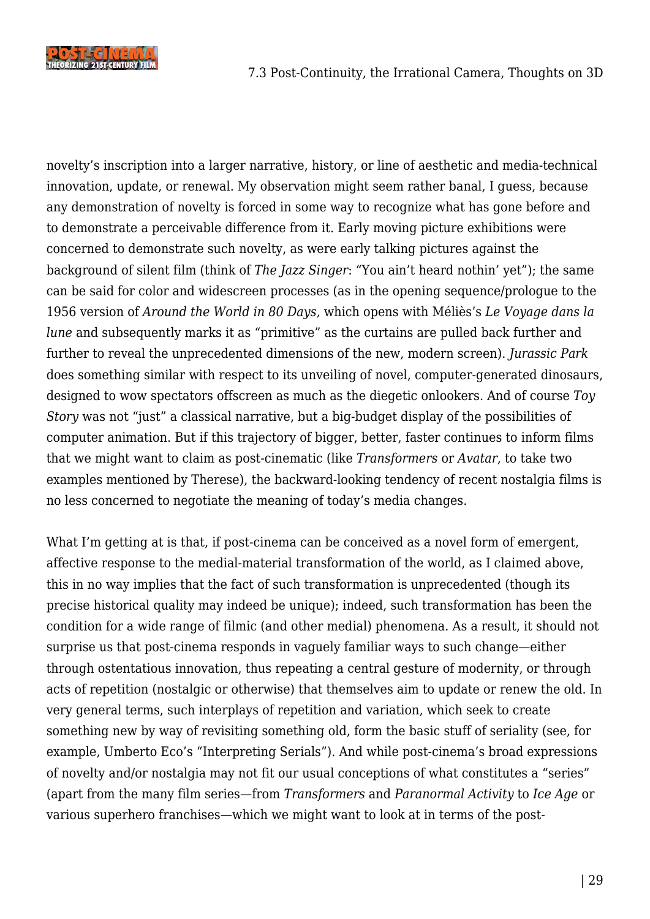

novelty's inscription into a larger narrative, history, or line of aesthetic and media-technical innovation, update, or renewal. My observation might seem rather banal, I guess, because any demonstration of novelty is forced in some way to recognize what has gone before and to demonstrate a perceivable difference from it. Early moving picture exhibitions were concerned to demonstrate such novelty, as were early talking pictures against the background of silent film (think of *The Jazz Singer*: "You ain't heard nothin' yet"); the same can be said for color and widescreen processes (as in the opening sequence/prologue to the 1956 version of *Around the World in 80 Days,* which opens with Méliès's *Le Voyage dans la lune* and subsequently marks it as "primitive" as the curtains are pulled back further and further to reveal the unprecedented dimensions of the new, modern screen). *Jurassic Park* does something similar with respect to its unveiling of novel, computer-generated dinosaurs, designed to wow spectators offscreen as much as the diegetic onlookers. And of course *Toy Story* was not "just" a classical narrative, but a big-budget display of the possibilities of computer animation. But if this trajectory of bigger, better, faster continues to inform films that we might want to claim as post-cinematic (like *Transformers* or *Avatar*, to take two examples mentioned by Therese), the backward-looking tendency of recent nostalgia films is no less concerned to negotiate the meaning of today's media changes.

What I'm getting at is that, if post-cinema can be conceived as a novel form of emergent, affective response to the medial-material transformation of the world, as I claimed above, this in no way implies that the fact of such transformation is unprecedented (though its precise historical quality may indeed be unique); indeed, such transformation has been the condition for a wide range of filmic (and other medial) phenomena. As a result, it should not surprise us that post-cinema responds in vaguely familiar ways to such change—either through ostentatious innovation, thus repeating a central gesture of modernity, or through acts of repetition (nostalgic or otherwise) that themselves aim to update or renew the old. In very general terms, such interplays of repetition and variation, which seek to create something new by way of revisiting something old, form the basic stuff of seriality (see, for example, Umberto Eco's "Interpreting Serials"). And while post-cinema's broad expressions of novelty and/or nostalgia may not fit our usual conceptions of what constitutes a "series" (apart from the many film series—from *Transformers* and *Paranormal Activity* to *Ice Age* or various superhero franchises—which we might want to look at in terms of the post-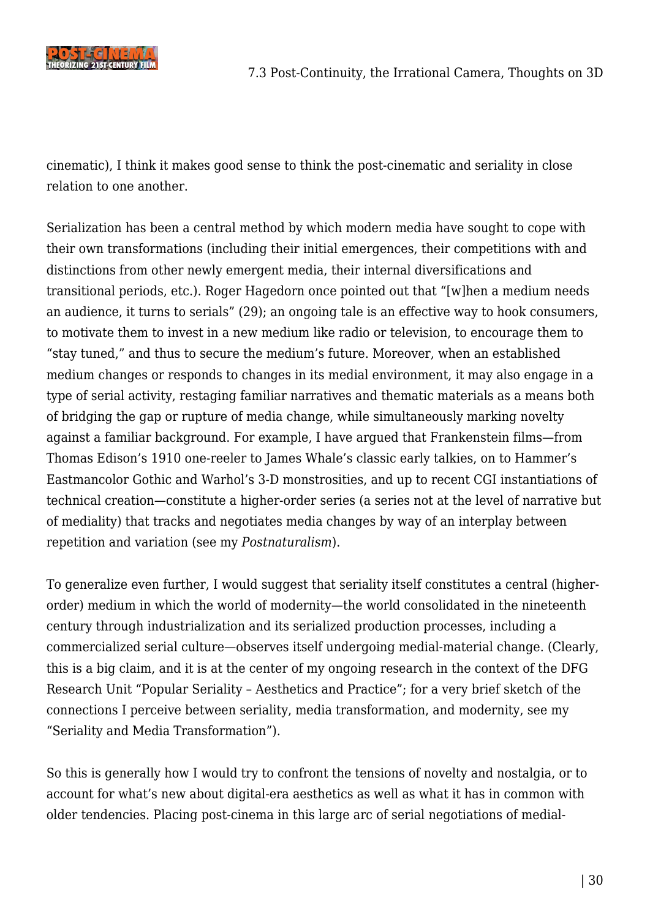

cinematic), I think it makes good sense to think the post-cinematic and seriality in close relation to one another.

Serialization has been a central method by which modern media have sought to cope with their own transformations (including their initial emergences, their competitions with and distinctions from other newly emergent media, their internal diversifications and transitional periods, etc.). Roger Hagedorn once pointed out that "[w]hen a medium needs an audience, it turns to serials" (29); an ongoing tale is an effective way to hook consumers, to motivate them to invest in a new medium like radio or television, to encourage them to "stay tuned," and thus to secure the medium's future. Moreover, when an established medium changes or responds to changes in its medial environment, it may also engage in a type of serial activity, restaging familiar narratives and thematic materials as a means both of bridging the gap or rupture of media change, while simultaneously marking novelty against a familiar background. For example, I have argued that Frankenstein films—from Thomas Edison's 1910 one-reeler to James Whale's classic early talkies, on to Hammer's Eastmancolor Gothic and Warhol's 3-D monstrosities, and up to recent CGI instantiations of technical creation—constitute a higher-order series (a series not at the level of narrative but of mediality) that tracks and negotiates media changes by way of an interplay between repetition and variation (see my *Postnaturalism*).

To generalize even further, I would suggest that seriality itself constitutes a central (higherorder) medium in which the world of modernity—the world consolidated in the nineteenth century through industrialization and its serialized production processes, including a commercialized serial culture—observes itself undergoing medial-material change. (Clearly, this is a big claim, and it is at the center of my ongoing research in the context of the DFG Research Unit "Popular Seriality – Aesthetics and Practice"; for a very brief sketch of the connections I perceive between seriality, media transformation, and modernity, see my "Seriality and Media Transformation").

So this is generally how I would try to confront the tensions of novelty and nostalgia, or to account for what's new about digital-era aesthetics as well as what it has in common with older tendencies. Placing post-cinema in this large arc of serial negotiations of medial-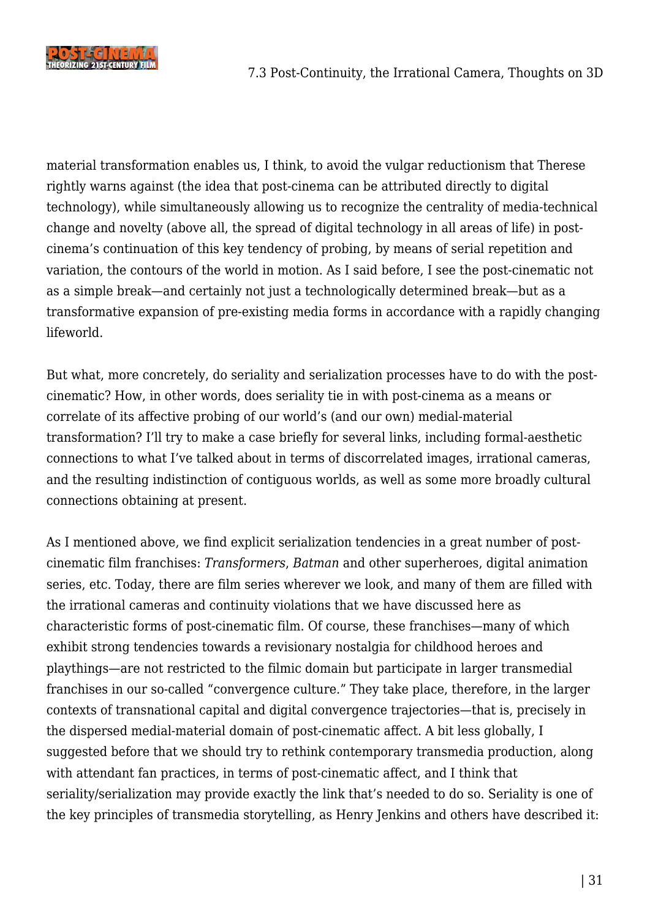

material transformation enables us, I think, to avoid the vulgar reductionism that Therese rightly warns against (the idea that post-cinema can be attributed directly to digital technology), while simultaneously allowing us to recognize the centrality of media-technical change and novelty (above all, the spread of digital technology in all areas of life) in postcinema's continuation of this key tendency of probing, by means of serial repetition and variation, the contours of the world in motion. As I said before, I see the post-cinematic not as a simple break—and certainly not just a technologically determined break—but as a transformative expansion of pre-existing media forms in accordance with a rapidly changing lifeworld.

But what, more concretely, do seriality and serialization processes have to do with the postcinematic? How, in other words, does seriality tie in with post-cinema as a means or correlate of its affective probing of our world's (and our own) medial-material transformation? I'll try to make a case briefly for several links, including formal-aesthetic connections to what I've talked about in terms of discorrelated images, irrational cameras, and the resulting indistinction of contiguous worlds, as well as some more broadly cultural connections obtaining at present.

As I mentioned above, we find explicit serialization tendencies in a great number of postcinematic film franchises: *Transformers*, *Batman* and other superheroes, digital animation series, etc. Today, there are film series wherever we look, and many of them are filled with the irrational cameras and continuity violations that we have discussed here as characteristic forms of post-cinematic film. Of course, these franchises—many of which exhibit strong tendencies towards a revisionary nostalgia for childhood heroes and playthings—are not restricted to the filmic domain but participate in larger transmedial franchises in our so-called "convergence culture." They take place, therefore, in the larger contexts of transnational capital and digital convergence trajectories—that is, precisely in the dispersed medial-material domain of post-cinematic affect. A bit less globally, I suggested before that we should try to rethink contemporary transmedia production, along with attendant fan practices, in terms of post-cinematic affect, and I think that seriality/serialization may provide exactly the link that's needed to do so. Seriality is one of the key principles of transmedia storytelling, as Henry Jenkins and others have described it: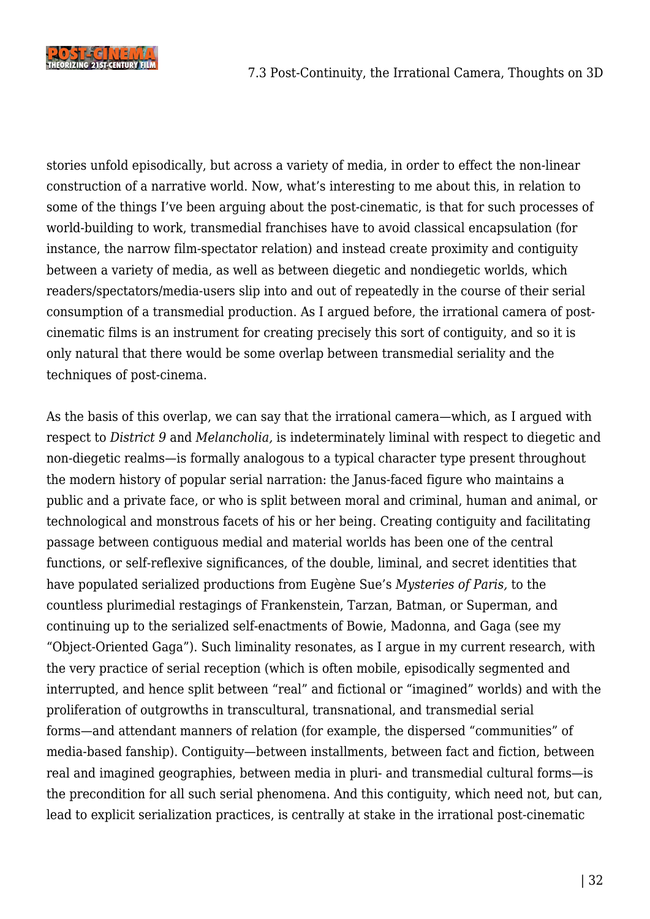

stories unfold episodically, but across a variety of media, in order to effect the non-linear construction of a narrative world. Now, what's interesting to me about this, in relation to some of the things I've been arguing about the post-cinematic, is that for such processes of world-building to work, transmedial franchises have to avoid classical encapsulation (for instance, the narrow film-spectator relation) and instead create proximity and contiguity between a variety of media, as well as between diegetic and nondiegetic worlds, which readers/spectators/media-users slip into and out of repeatedly in the course of their serial consumption of a transmedial production. As I argued before, the irrational camera of postcinematic films is an instrument for creating precisely this sort of contiguity, and so it is only natural that there would be some overlap between transmedial seriality and the techniques of post-cinema.

As the basis of this overlap, we can say that the irrational camera—which, as I argued with respect to *District 9* and *Melancholia,* is indeterminately liminal with respect to diegetic and non-diegetic realms—is formally analogous to a typical character type present throughout the modern history of popular serial narration: the Janus-faced figure who maintains a public and a private face, or who is split between moral and criminal, human and animal, or technological and monstrous facets of his or her being. Creating contiguity and facilitating passage between contiguous medial and material worlds has been one of the central functions, or self-reflexive significances, of the double, liminal, and secret identities that have populated serialized productions from Eugène Sue's *Mysteries of Paris,* to the countless plurimedial restagings of Frankenstein, Tarzan, Batman, or Superman, and continuing up to the serialized self-enactments of Bowie, Madonna, and Gaga (see my "Object-Oriented Gaga"). Such liminality resonates, as I argue in my current research, with the very practice of serial reception (which is often mobile, episodically segmented and interrupted, and hence split between "real" and fictional or "imagined" worlds) and with the proliferation of outgrowths in transcultural, transnational, and transmedial serial forms—and attendant manners of relation (for example, the dispersed "communities" of media-based fanship). Contiguity—between installments, between fact and fiction, between real and imagined geographies, between media in pluri- and transmedial cultural forms—is the precondition for all such serial phenomena. And this contiguity, which need not, but can, lead to explicit serialization practices, is centrally at stake in the irrational post-cinematic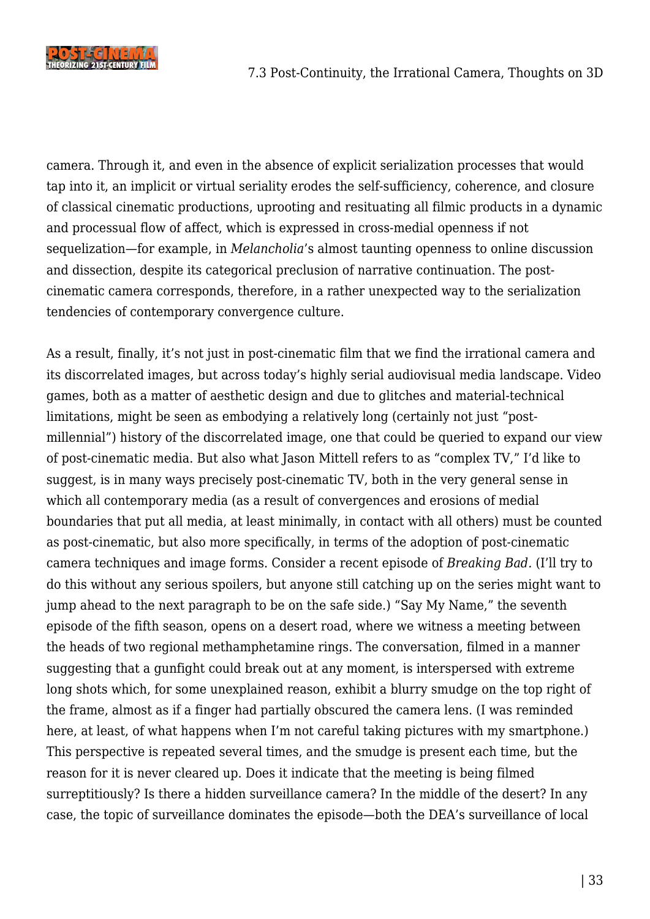

camera. Through it, and even in the absence of explicit serialization processes that would tap into it, an implicit or virtual seriality erodes the self-sufficiency, coherence, and closure of classical cinematic productions, uprooting and resituating all filmic products in a dynamic and processual flow of affect, which is expressed in cross-medial openness if not sequelization—for example, in *Melancholia*'s almost taunting openness to online discussion and dissection, despite its categorical preclusion of narrative continuation. The postcinematic camera corresponds, therefore, in a rather unexpected way to the serialization tendencies of contemporary convergence culture.

As a result, finally, it's not just in post-cinematic film that we find the irrational camera and its discorrelated images, but across today's highly serial audiovisual media landscape. Video games, both as a matter of aesthetic design and due to glitches and material-technical limitations, might be seen as embodying a relatively long (certainly not just "postmillennial") history of the discorrelated image, one that could be queried to expand our view of post-cinematic media. But also what Jason Mittell refers to as "complex TV," I'd like to suggest, is in many ways precisely post-cinematic TV, both in the very general sense in which all contemporary media (as a result of convergences and erosions of medial boundaries that put all media, at least minimally, in contact with all others) must be counted as post-cinematic, but also more specifically, in terms of the adoption of post-cinematic camera techniques and image forms. Consider a recent episode of *Breaking Bad.* (I'll try to do this without any serious spoilers, but anyone still catching up on the series might want to jump ahead to the next paragraph to be on the safe side.) "Say My Name," the seventh episode of the fifth season, opens on a desert road, where we witness a meeting between the heads of two regional methamphetamine rings. The conversation, filmed in a manner suggesting that a gunfight could break out at any moment, is interspersed with extreme long shots which, for some unexplained reason, exhibit a blurry smudge on the top right of the frame, almost as if a finger had partially obscured the camera lens. (I was reminded here, at least, of what happens when I'm not careful taking pictures with my smartphone.) This perspective is repeated several times, and the smudge is present each time, but the reason for it is never cleared up. Does it indicate that the meeting is being filmed surreptitiously? Is there a hidden surveillance camera? In the middle of the desert? In any case, the topic of surveillance dominates the episode—both the DEA's surveillance of local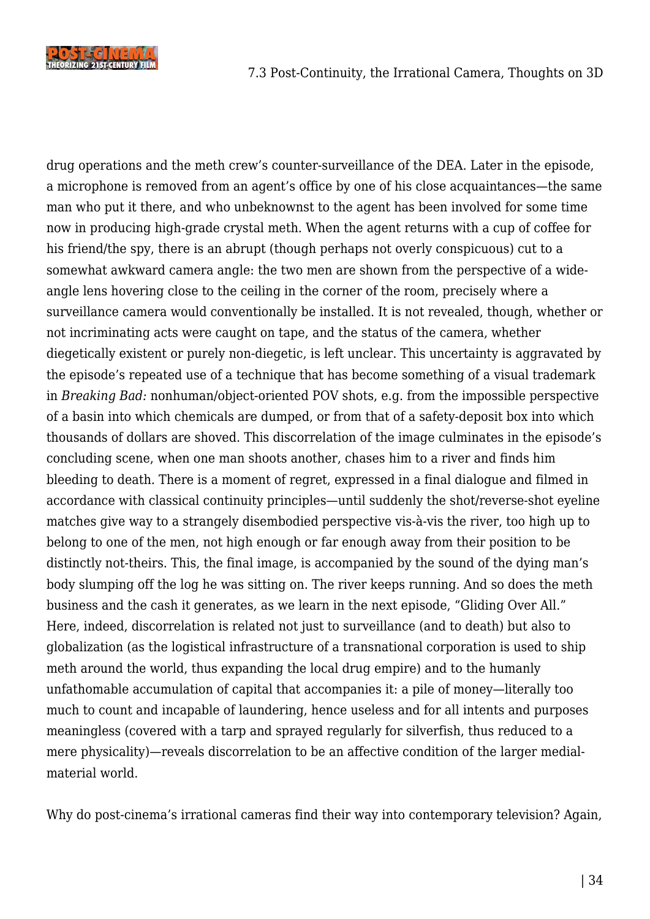

drug operations and the meth crew's counter-surveillance of the DEA. Later in the episode, a microphone is removed from an agent's office by one of his close acquaintances—the same man who put it there, and who unbeknownst to the agent has been involved for some time now in producing high-grade crystal meth. When the agent returns with a cup of coffee for his friend/the spy, there is an abrupt (though perhaps not overly conspicuous) cut to a somewhat awkward camera angle: the two men are shown from the perspective of a wideangle lens hovering close to the ceiling in the corner of the room, precisely where a surveillance camera would conventionally be installed. It is not revealed, though, whether or not incriminating acts were caught on tape, and the status of the camera, whether diegetically existent or purely non-diegetic, is left unclear. This uncertainty is aggravated by the episode's repeated use of a technique that has become something of a visual trademark in *Breaking Bad:* nonhuman/object-oriented POV shots, e.g. from the impossible perspective of a basin into which chemicals are dumped, or from that of a safety-deposit box into which thousands of dollars are shoved. This discorrelation of the image culminates in the episode's concluding scene, when one man shoots another, chases him to a river and finds him bleeding to death. There is a moment of regret, expressed in a final dialogue and filmed in accordance with classical continuity principles—until suddenly the shot/reverse-shot eyeline matches give way to a strangely disembodied perspective vis-à-vis the river, too high up to belong to one of the men, not high enough or far enough away from their position to be distinctly not-theirs. This, the final image, is accompanied by the sound of the dying man's body slumping off the log he was sitting on. The river keeps running. And so does the meth business and the cash it generates, as we learn in the next episode, "Gliding Over All." Here, indeed, discorrelation is related not just to surveillance (and to death) but also to globalization (as the logistical infrastructure of a transnational corporation is used to ship meth around the world, thus expanding the local drug empire) and to the humanly unfathomable accumulation of capital that accompanies it: a pile of money—literally too much to count and incapable of laundering, hence useless and for all intents and purposes meaningless (covered with a tarp and sprayed regularly for silverfish, thus reduced to a mere physicality)—reveals discorrelation to be an affective condition of the larger medialmaterial world.

Why do post-cinema's irrational cameras find their way into contemporary television? Again,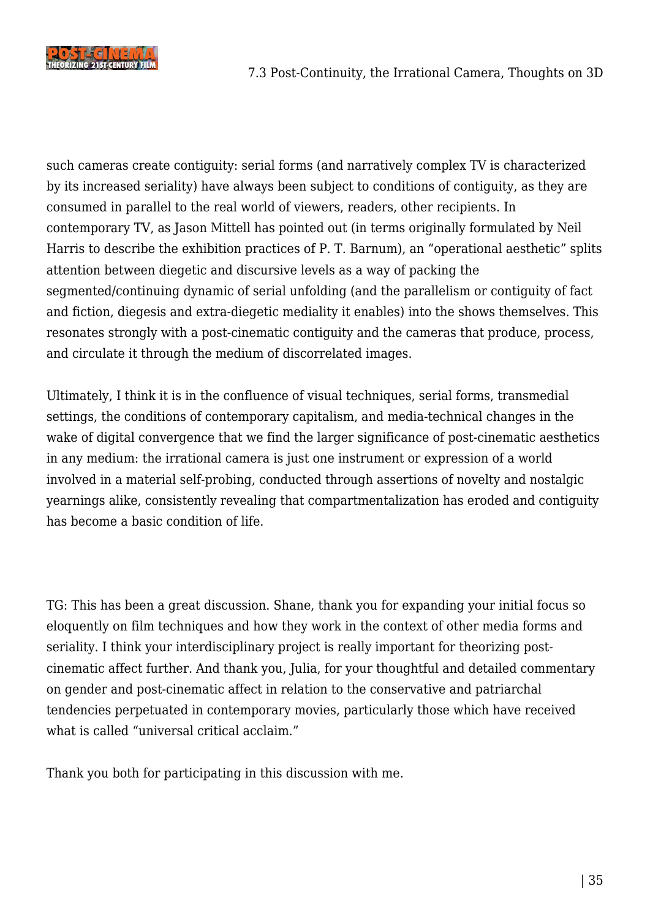

such cameras create contiguity: serial forms (and narratively complex TV is characterized by its increased seriality) have always been subject to conditions of contiguity, as they are consumed in parallel to the real world of viewers, readers, other recipients. In contemporary TV, as Jason Mittell has pointed out (in terms originally formulated by Neil Harris to describe the exhibition practices of P. T. Barnum), an "operational aesthetic" splits attention between diegetic and discursive levels as a way of packing the segmented/continuing dynamic of serial unfolding (and the parallelism or contiguity of fact and fiction, diegesis and extra-diegetic mediality it enables) into the shows themselves. This resonates strongly with a post-cinematic contiguity and the cameras that produce, process, and circulate it through the medium of discorrelated images.

Ultimately, I think it is in the confluence of visual techniques, serial forms, transmedial settings, the conditions of contemporary capitalism, and media-technical changes in the wake of digital convergence that we find the larger significance of post-cinematic aesthetics in any medium: the irrational camera is just one instrument or expression of a world involved in a material self-probing, conducted through assertions of novelty and nostalgic yearnings alike, consistently revealing that compartmentalization has eroded and contiguity has become a basic condition of life.

TG: This has been a great discussion. Shane, thank you for expanding your initial focus so eloquently on film techniques and how they work in the context of other media forms and seriality. I think your interdisciplinary project is really important for theorizing postcinematic affect further. And thank you, Julia, for your thoughtful and detailed commentary on gender and post-cinematic affect in relation to the conservative and patriarchal tendencies perpetuated in contemporary movies, particularly those which have received what is called "universal critical acclaim."

Thank you both for participating in this discussion with me.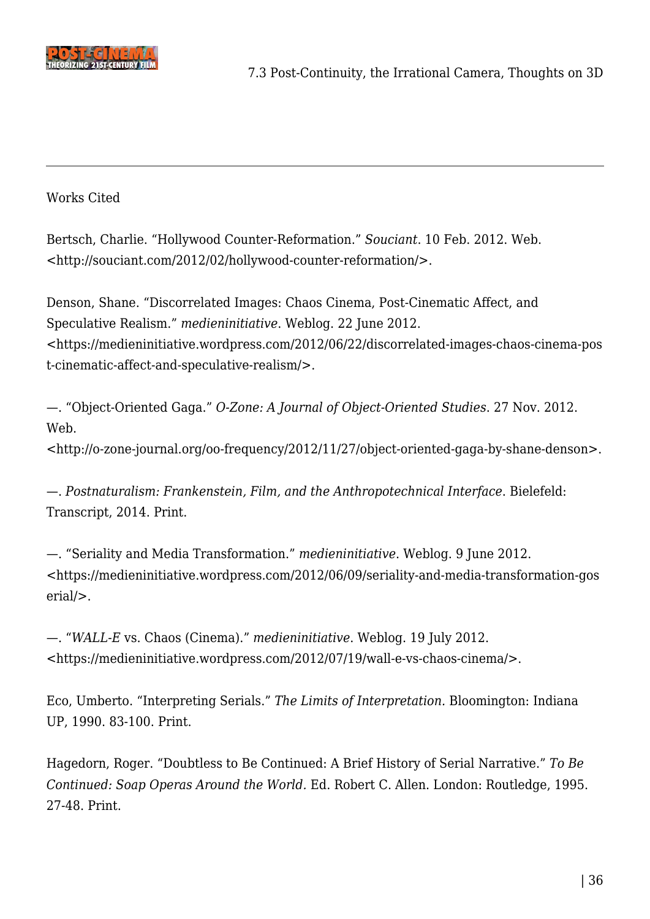

## Works Cited

Bertsch, Charlie. "Hollywood Counter-Reformation." *Souciant*. 10 Feb. 2012. Web. <[http://souciant.com/2012/02/hollywood-counter-reformation/>](http://souciant.com/2012/02/hollywood-counter-reformation/).

Denson, Shane. "Discorrelated Images: Chaos Cinema, Post-Cinematic Affect, and Speculative Realism." *medieninitiative*. Weblog. 22 June 2012. <[https://medieninitiative.wordpress.com/2012/06/22/discorrelated-images-chaos-cinema-pos](https://medieninitiative.wordpress.com/2012/06/22/discorrelated-images-chaos-cinema-post-cinematic-affect-and-speculative-realism/) [t-cinematic-affect-and-speculative-realism/](https://medieninitiative.wordpress.com/2012/06/22/discorrelated-images-chaos-cinema-post-cinematic-affect-and-speculative-realism/)>.

—. "Object-Oriented Gaga." *O-Zone: A Journal of Object-Oriented Studies*. 27 Nov. 2012. Web.

<[http://o-zone-journal.org/oo-frequency/2012/11/27/object-oriented-gaga-by-shane-denson>](http://o-zone-journal.org/oo-frequency/2012/11/27/object-oriented-gaga-by-shane-denson).

—. *Postnaturalism: Frankenstein, Film, and the Anthropotechnical Interface*. Bielefeld: Transcript, 2014. Print.

—. "Seriality and Media Transformation." *medieninitiative*. Weblog. 9 June 2012. <[https://medieninitiative.wordpress.com/2012/06/09/seriality-and-media-transformation-gos](https://medieninitiative.wordpress.com/2012/06/09/seriality-and-media-transformation-goserial/) [erial/](https://medieninitiative.wordpress.com/2012/06/09/seriality-and-media-transformation-goserial/)>.

—. "*WALL-E* vs. Chaos (Cinema)." *medieninitiative*. Weblog. 19 July 2012. <<https://medieninitiative.wordpress.com/2012/07/19/wall-e-vs-chaos-cinema/>>.

Eco, Umberto. "Interpreting Serials." *The Limits of Interpretation.* Bloomington: Indiana UP, 1990. 83-100. Print.

Hagedorn, Roger. "Doubtless to Be Continued: A Brief History of Serial Narrative." *To Be Continued: Soap Operas Around the World.* Ed. Robert C. Allen. London: Routledge, 1995. 27-48. Print.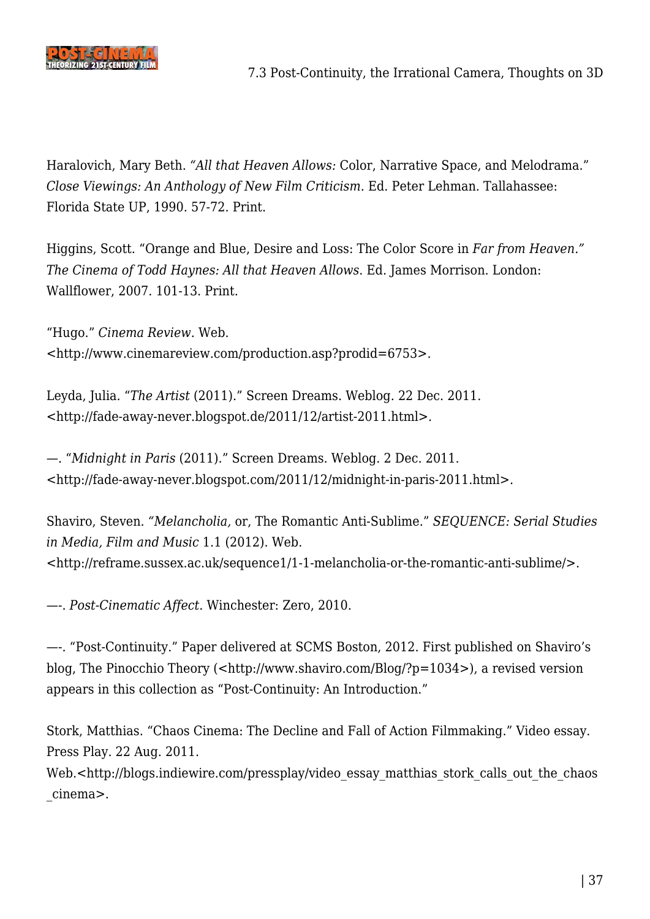

Haralovich, Mary Beth. *"All that Heaven Allows:* Color, Narrative Space, and Melodrama." *Close Viewings: An Anthology of New Film Criticism*. Ed. Peter Lehman. Tallahassee: Florida State UP, 1990. 57-72. Print.

Higgins, Scott. "Orange and Blue, Desire and Loss: The Color Score in *Far from Heaven." The Cinema of Todd Haynes: All that Heaven Allows*. Ed. James Morrison. London: Wallflower, 2007. 101-13. Print.

"Hugo." *Cinema Review*. Web. <<http://www.cinemareview.com/production.asp?prodid=6753>>.

Leyda, Julia. "*The Artist* (2011)." Screen Dreams. Weblog. 22 Dec. 2011. <<http://fade-away-never.blogspot.de/2011/12/artist-2011.html>>.

—. "*Midnight in Paris* (2011)." Screen Dreams. Weblog. 2 Dec. 2011. <[http://fade-away-never.blogspot.com/2011/12/midnight-in-paris-2011.html>](http://fade-away-never.blogspot.com/2011/12/midnight-in-paris-2011.html).

Shaviro, Steven. *"Melancholia,* or, The Romantic Anti-Sublime." *SEQUENCE: Serial Studies in Media, Film and Music* 1.1 (2012). Web. <[http://reframe.sussex.ac.uk/sequence1/1-1-melancholia-or-the-romantic-anti-sublime/>](http://reframe.sussex.ac.uk/sequence1/1-1-melancholia-or-the-romantic-anti-sublime/).

—-. *Post-Cinematic Affect*. Winchester: Zero, 2010.

—-. "Post-Continuity." Paper delivered at SCMS Boston, 2012. First published on Shaviro's blog, The Pinocchio Theory (<<http://www.shaviro.com/Blog/?p=1034>>), a revised version appears in this collection as "[Post-Continuity: An Introduction](http://reframe.sussex.ac.uk/post-cinema/1-2-shaviro/)."

Stork, Matthias. "Chaos Cinema: The Decline and Fall of Action Filmmaking." Video essay. Press Play. 22 Aug. 2011.

Web.[<http://blogs.indiewire.com/pressplay/video\\_essay\\_matthias\\_stork\\_calls\\_out\\_the\\_chaos](http://blogs.indiewire.com/pressplay/video_essay_matthias_stork_calls_out_the_chaos_cinema) [\\_cinema](http://blogs.indiewire.com/pressplay/video_essay_matthias_stork_calls_out_the_chaos_cinema)>.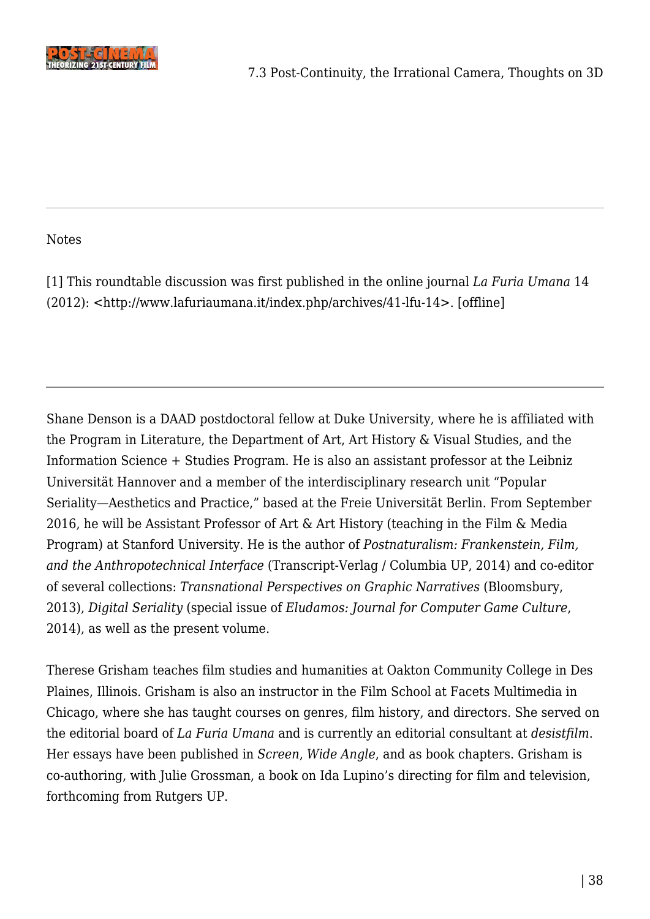

## Notes

<span id="page-37-0"></span>[\[1\]](#page-0-0) This roundtable discussion was first published in the online journal *La Furia Umana* 14 (2012): <[http://www.lafuriaumana.it/index.php/archives/41-lfu-14](http://www.lafuriaumana.it/)>. [offline]

Shane Denson is a DAAD postdoctoral fellow at Duke University, where he is affiliated with the Program in Literature, the Department of Art, Art History & Visual Studies, and the Information Science + Studies Program. He is also an assistant professor at the Leibniz Universität Hannover and a member of the interdisciplinary research unit "Popular Seriality—Aesthetics and Practice," based at the Freie Universität Berlin. From September 2016, he will be Assistant Professor of Art & Art History (teaching in the Film & Media Program) at Stanford University. He is the author of *Postnaturalism: Frankenstein, Film, and the Anthropotechnical Interface* (Transcript-Verlag / Columbia UP, 2014) and co-editor of several collections: *Transnational Perspectives on Graphic Narratives* (Bloomsbury, 2013), *Digital Seriality* (special issue of *Eludamos: Journal for Computer Game Culture*, 2014), as well as the present volume.

Therese Grisham teaches film studies and humanities at Oakton Community College in Des Plaines, Illinois. Grisham is also an instructor in the Film School at Facets Multimedia in Chicago, where she has taught courses on genres, film history, and directors. She served on the editorial board of *La Furia Umana* and is currently an editorial consultant at *desistfilm*. Her essays have been published in *Screen*, *Wide Angle*, and as book chapters. Grisham is co-authoring, with Julie Grossman, a book on Ida Lupino's directing for film and television, forthcoming from Rutgers UP.